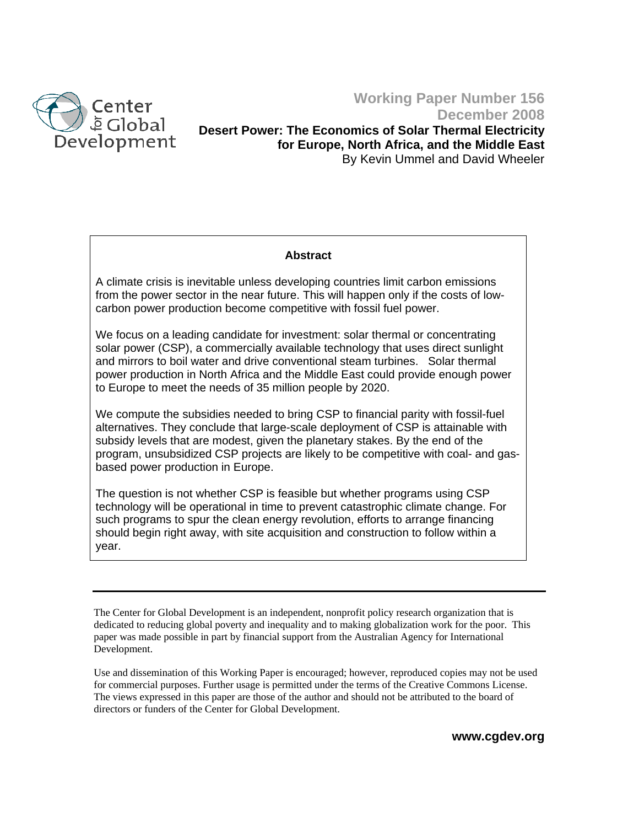

# **Working Paper Number 156 December 2008 Desert Power: The Economics of Solar Thermal Electricity for Europe, North Africa, and the Middle East**  By Kevin Ummel and David Wheeler

# **Abstract**

A climate crisis is inevitable unless developing countries limit carbon emissions from the power sector in the near future. This will happen only if the costs of lowcarbon power production become competitive with fossil fuel power.

We focus on a leading candidate for investment: solar thermal or concentrating solar power (CSP), a commercially available technology that uses direct sunlight and mirrors to boil water and drive conventional steam turbines. Solar thermal power production in North Africa and the Middle East could provide enough power to Europe to meet the needs of 35 million people by 2020.

We compute the subsidies needed to bring CSP to financial parity with fossil-fuel alternatives. They conclude that large-scale deployment of CSP is attainable with subsidy levels that are modest, given the planetary stakes. By the end of the program, unsubsidized CSP projects are likely to be competitive with coal- and gasbased power production in Europe.

The question is not whether CSP is feasible but whether programs using CSP technology will be operational in time to prevent catastrophic climate change. For such programs to spur the clean energy revolution, efforts to arrange financing should begin right away, with site acquisition and construction to follow within a year.

The Center for Global Development is an independent, nonprofit policy research organization that is dedicated to reducing global poverty and inequality and to making globalization work for the poor.This paper was made possible in part by financial support from the Australian Agency for International Development.

Use and dissemination of this Working Paper is encouraged; however, reproduced copies may not be used for commercial purposes. Further usage is permitted under the terms of the Creative Commons License. The views expressed in this paper are those of the author and should not be attributed to the board of directors or funders of the Center for Global Development.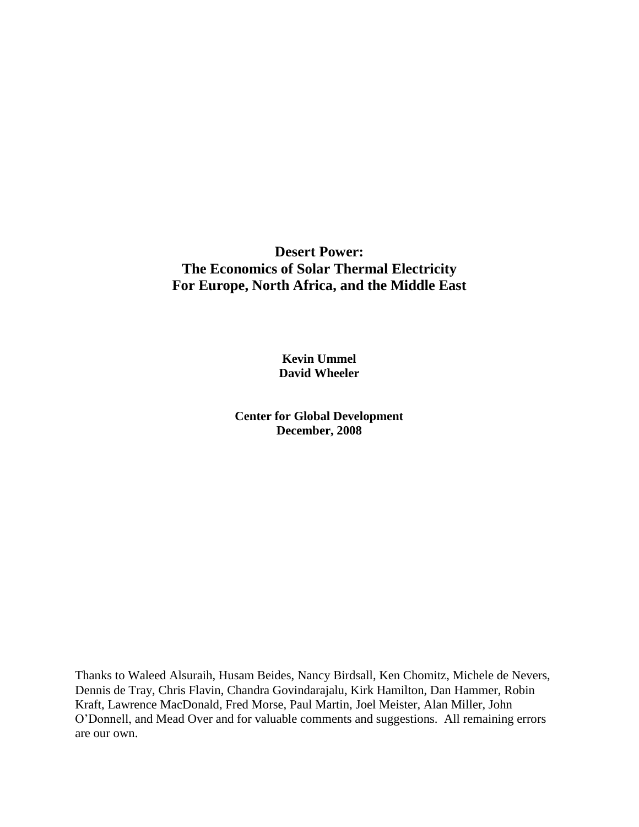# **Desert Power: The Economics of Solar Thermal Electricity For Europe, North Africa, and the Middle East**

**Kevin Ummel David Wheeler**

**Center for Global Development December, 2008**

Thanks to Waleed Alsuraih, Husam Beides, Nancy Birdsall, Ken Chomitz, Michele de Nevers, Dennis de Tray, Chris Flavin, Chandra Govindarajalu, Kirk Hamilton, Dan Hammer, Robin Kraft, Lawrence MacDonald, Fred Morse, Paul Martin, Joel Meister, Alan Miller, John O'Donnell, and Mead Over and for valuable comments and suggestions. All remaining errors are our own.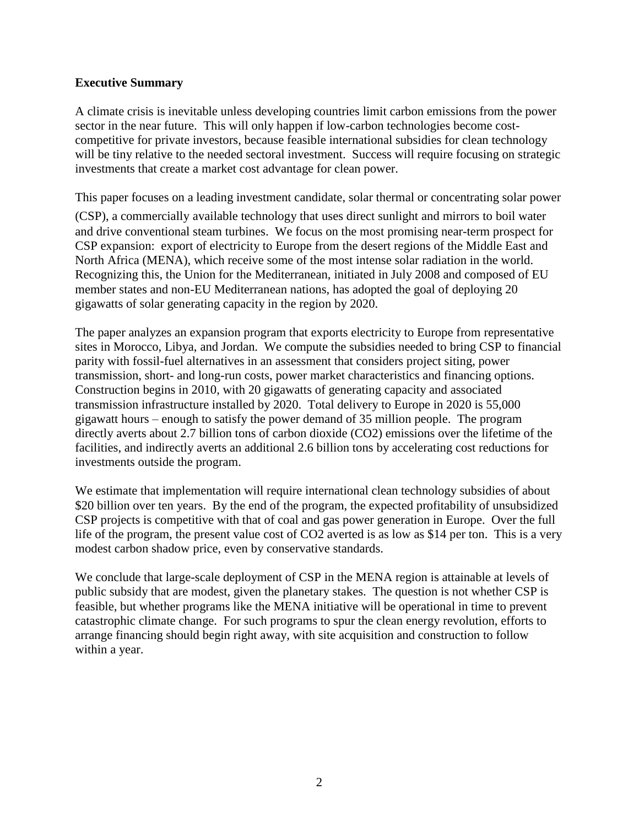# **Executive Summary**

A climate crisis is inevitable unless developing countries limit carbon emissions from the power sector in the near future. This will only happen if low-carbon technologies become costcompetitive for private investors, because feasible international subsidies for clean technology will be tiny relative to the needed sectoral investment. Success will require focusing on strategic investments that create a market cost advantage for clean power.

This paper focuses on a leading investment candidate, solar thermal or concentrating solar power (CSP), a commercially available technology that uses direct sunlight and mirrors to boil water and drive conventional steam turbines. We focus on the most promising near-term prospect for CSP expansion: export of electricity to Europe from the desert regions of the Middle East and North Africa (MENA), which receive some of the most intense solar radiation in the world. Recognizing this, the Union for the Mediterranean, initiated in July 2008 and composed of EU member states and non-EU Mediterranean nations, has adopted the goal of deploying 20 gigawatts of solar generating capacity in the region by 2020.

The paper analyzes an expansion program that exports electricity to Europe from representative sites in Morocco, Libya, and Jordan. We compute the subsidies needed to bring CSP to financial parity with fossil-fuel alternatives in an assessment that considers project siting, power transmission, short- and long-run costs, power market characteristics and financing options. Construction begins in 2010, with 20 gigawatts of generating capacity and associated transmission infrastructure installed by 2020. Total delivery to Europe in 2020 is 55,000 gigawatt hours – enough to satisfy the power demand of 35 million people. The program directly averts about 2.7 billion tons of carbon dioxide (CO2) emissions over the lifetime of the facilities, and indirectly averts an additional 2.6 billion tons by accelerating cost reductions for investments outside the program.

We estimate that implementation will require international clean technology subsidies of about \$20 billion over ten years. By the end of the program, the expected profitability of unsubsidized CSP projects is competitive with that of coal and gas power generation in Europe. Over the full life of the program, the present value cost of CO2 averted is as low as \$14 per ton. This is a very modest carbon shadow price, even by conservative standards.

We conclude that large-scale deployment of CSP in the MENA region is attainable at levels of public subsidy that are modest, given the planetary stakes. The question is not whether CSP is feasible, but whether programs like the MENA initiative will be operational in time to prevent catastrophic climate change. For such programs to spur the clean energy revolution, efforts to arrange financing should begin right away, with site acquisition and construction to follow within a year.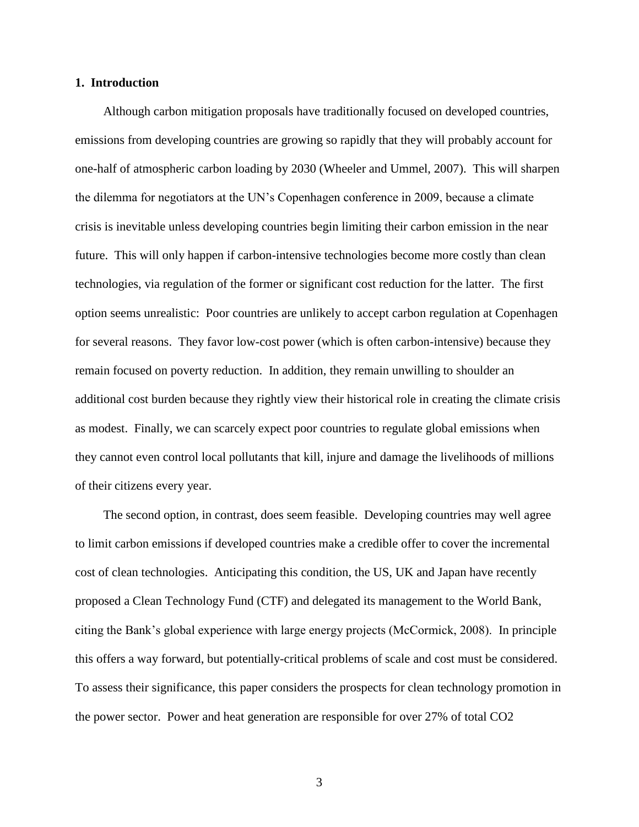#### **1. Introduction**

Although carbon mitigation proposals have traditionally focused on developed countries, emissions from developing countries are growing so rapidly that they will probably account for one-half of atmospheric carbon loading by 2030 (Wheeler and Ummel, 2007). This will sharpen the dilemma for negotiators at the UN's Copenhagen conference in 2009, because a climate crisis is inevitable unless developing countries begin limiting their carbon emission in the near future. This will only happen if carbon-intensive technologies become more costly than clean technologies, via regulation of the former or significant cost reduction for the latter. The first option seems unrealistic: Poor countries are unlikely to accept carbon regulation at Copenhagen for several reasons. They favor low-cost power (which is often carbon-intensive) because they remain focused on poverty reduction. In addition, they remain unwilling to shoulder an additional cost burden because they rightly view their historical role in creating the climate crisis as modest. Finally, we can scarcely expect poor countries to regulate global emissions when they cannot even control local pollutants that kill, injure and damage the livelihoods of millions of their citizens every year.

The second option, in contrast, does seem feasible. Developing countries may well agree to limit carbon emissions if developed countries make a credible offer to cover the incremental cost of clean technologies. Anticipating this condition, the US, UK and Japan have recently proposed a Clean Technology Fund (CTF) and delegated its management to the World Bank, citing the Bank's global experience with large energy projects (McCormick, 2008). In principle this offers a way forward, but potentially-critical problems of scale and cost must be considered. To assess their significance, this paper considers the prospects for clean technology promotion in the power sector. Power and heat generation are responsible for over 27% of total CO2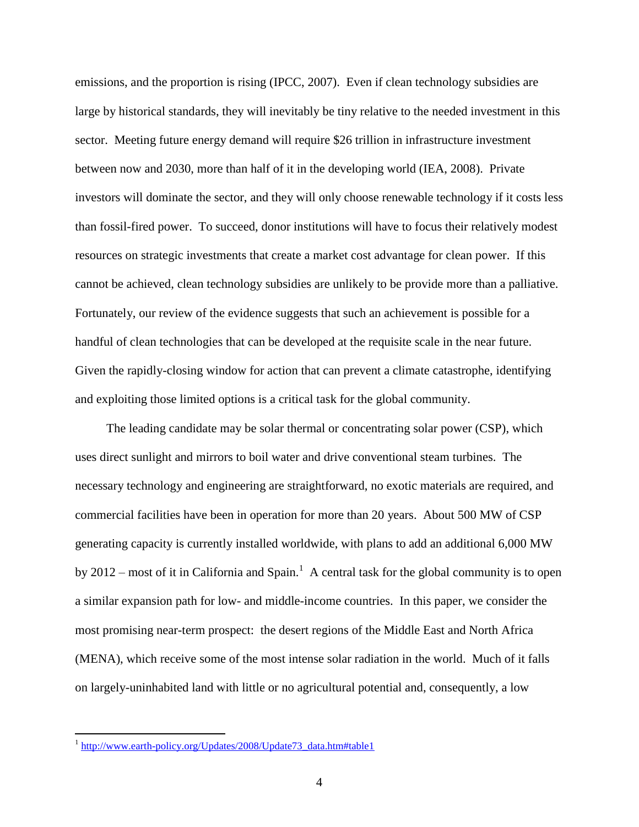emissions, and the proportion is rising (IPCC, 2007). Even if clean technology subsidies are large by historical standards, they will inevitably be tiny relative to the needed investment in this sector. Meeting future energy demand will require \$26 trillion in infrastructure investment between now and 2030, more than half of it in the developing world (IEA, 2008). Private investors will dominate the sector, and they will only choose renewable technology if it costs less than fossil-fired power. To succeed, donor institutions will have to focus their relatively modest resources on strategic investments that create a market cost advantage for clean power. If this cannot be achieved, clean technology subsidies are unlikely to be provide more than a palliative. Fortunately, our review of the evidence suggests that such an achievement is possible for a handful of clean technologies that can be developed at the requisite scale in the near future. Given the rapidly-closing window for action that can prevent a climate catastrophe, identifying and exploiting those limited options is a critical task for the global community.

The leading candidate may be solar thermal or concentrating solar power (CSP), which uses direct sunlight and mirrors to boil water and drive conventional steam turbines. The necessary technology and engineering are straightforward, no exotic materials are required, and commercial facilities have been in operation for more than 20 years. About 500 MW of CSP generating capacity is currently installed worldwide, with plans to add an additional 6,000 MW by 2012 – most of it in California and Spain.<sup>1</sup> A central task for the global community is to open a similar expansion path for low- and middle-income countries. In this paper, we consider the most promising near-term prospect: the desert regions of the Middle East and North Africa (MENA), which receive some of the most intense solar radiation in the world. Much of it falls on largely-uninhabited land with little or no agricultural potential and, consequently, a low

<sup>&</sup>lt;sup>1</sup> [http://www.earth-policy.org/Updates/2008/Update73\\_data.htm#table1](http://www.earth-policy.org/Updates/2008/Update73_data.htm#table1)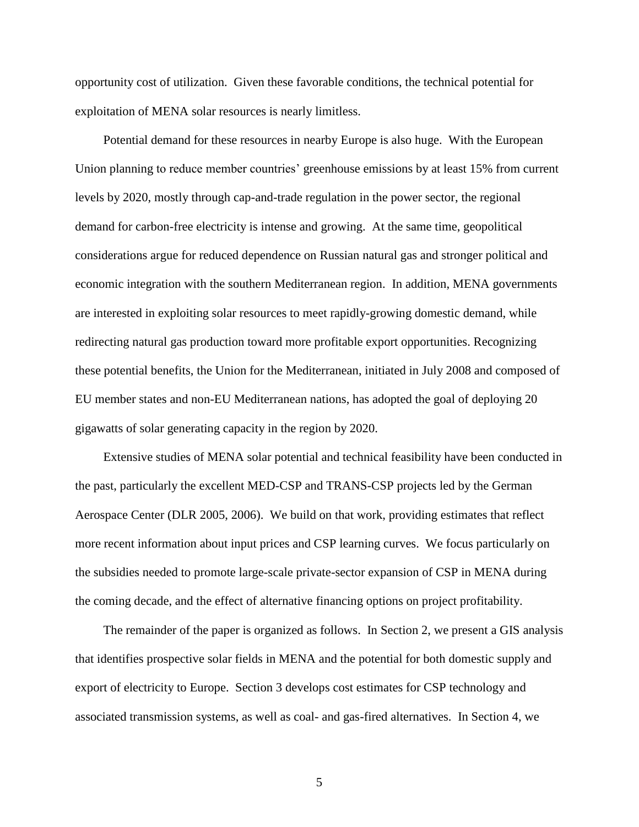opportunity cost of utilization. Given these favorable conditions, the technical potential for exploitation of MENA solar resources is nearly limitless.

Potential demand for these resources in nearby Europe is also huge. With the European Union planning to reduce member countries' greenhouse emissions by at least 15% from current levels by 2020, mostly through cap-and-trade regulation in the power sector, the regional demand for carbon-free electricity is intense and growing. At the same time, geopolitical considerations argue for reduced dependence on Russian natural gas and stronger political and economic integration with the southern Mediterranean region. In addition, MENA governments are interested in exploiting solar resources to meet rapidly-growing domestic demand, while redirecting natural gas production toward more profitable export opportunities. Recognizing these potential benefits, the Union for the Mediterranean, initiated in July 2008 and composed of EU member states and non-EU Mediterranean nations, has adopted the goal of deploying 20 gigawatts of solar generating capacity in the region by 2020.

Extensive studies of MENA solar potential and technical feasibility have been conducted in the past, particularly the excellent MED-CSP and TRANS-CSP projects led by the German Aerospace Center (DLR 2005, 2006). We build on that work, providing estimates that reflect more recent information about input prices and CSP learning curves. We focus particularly on the subsidies needed to promote large-scale private-sector expansion of CSP in MENA during the coming decade, and the effect of alternative financing options on project profitability.

The remainder of the paper is organized as follows. In Section 2, we present a GIS analysis that identifies prospective solar fields in MENA and the potential for both domestic supply and export of electricity to Europe. Section 3 develops cost estimates for CSP technology and associated transmission systems, as well as coal- and gas-fired alternatives. In Section 4, we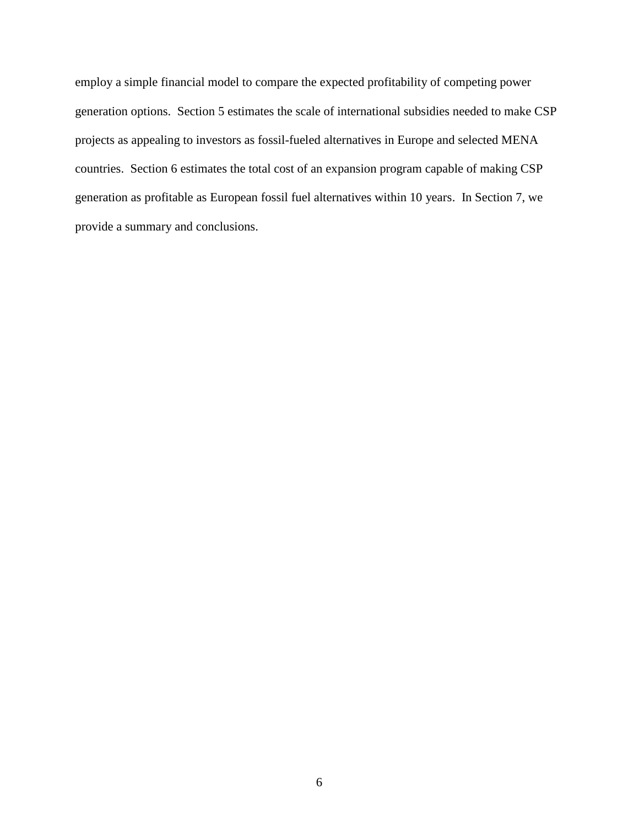employ a simple financial model to compare the expected profitability of competing power generation options. Section 5 estimates the scale of international subsidies needed to make CSP projects as appealing to investors as fossil-fueled alternatives in Europe and selected MENA countries. Section 6 estimates the total cost of an expansion program capable of making CSP generation as profitable as European fossil fuel alternatives within 10 years. In Section 7, we provide a summary and conclusions.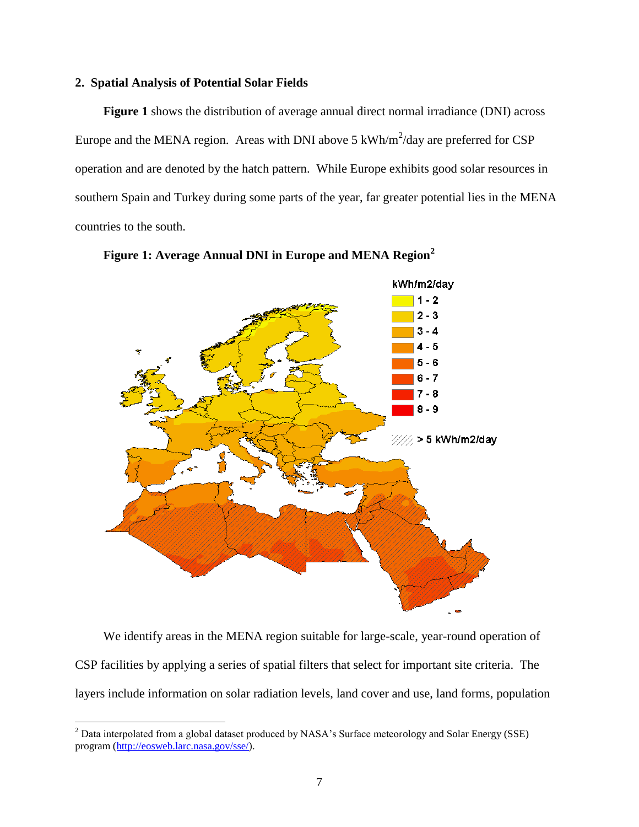### **2. Spatial Analysis of Potential Solar Fields**

**Figure 1** shows the distribution of average annual direct normal irradiance (DNI) across Europe and the MENA region. Areas with DNI above 5 kWh/m<sup>2</sup>/day are preferred for CSP operation and are denoted by the hatch pattern. While Europe exhibits good solar resources in southern Spain and Turkey during some parts of the year, far greater potential lies in the MENA countries to the south.



**Figure 1: Average Annual DNI in Europe and MENA Region<sup>2</sup>**

We identify areas in the MENA region suitable for large-scale, year-round operation of CSP facilities by applying a series of spatial filters that select for important site criteria. The layers include information on solar radiation levels, land cover and use, land forms, population

<sup>&</sup>lt;sup>2</sup> Data interpolated from a global dataset produced by NASA's Surface meteorology and Solar Energy (SSE) program [\(http://eosweb.larc.nasa.gov/sse/\)](http://eosweb.larc.nasa.gov/sse/).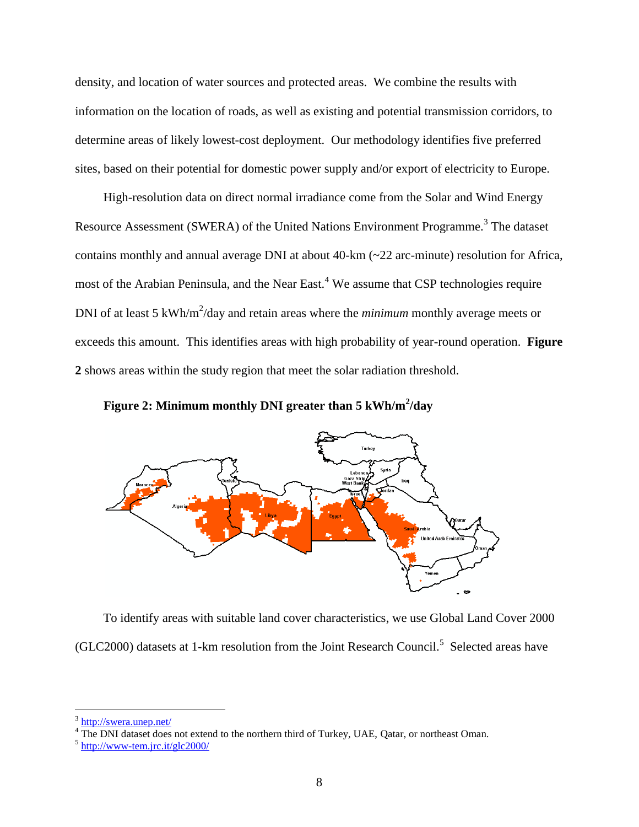density, and location of water sources and protected areas. We combine the results with information on the location of roads, as well as existing and potential transmission corridors, to determine areas of likely lowest-cost deployment. Our methodology identifies five preferred sites, based on their potential for domestic power supply and/or export of electricity to Europe.

High-resolution data on direct normal irradiance come from the Solar and Wind Energy Resource Assessment (SWERA) of the United Nations Environment Programme.<sup>3</sup> The dataset contains monthly and annual average DNI at about 40-km (~22 arc-minute) resolution for Africa, most of the Arabian Peninsula, and the Near East.<sup>4</sup> We assume that CSP technologies require DNI of at least 5 kWh/m<sup>2</sup>/day and retain areas where the *minimum* monthly average meets or exceeds this amount. This identifies areas with high probability of year-round operation. **Figure 2** shows areas within the study region that meet the solar radiation threshold.





To identify areas with suitable land cover characteristics, we use Global Land Cover 2000 (GLC2000) datasets at 1-km resolution from the Joint Research Council.<sup>5</sup> Selected areas have

<sup>&</sup>lt;sup>3</sup> <http://swera.unep.net/>

<sup>&</sup>lt;sup>4</sup> The DNI dataset does not extend to the northern third of Turkey, UAE, Qatar, or northeast Oman.

 $<sup>5</sup>$  <http://www-tem.jrc.it/glc2000/></sup>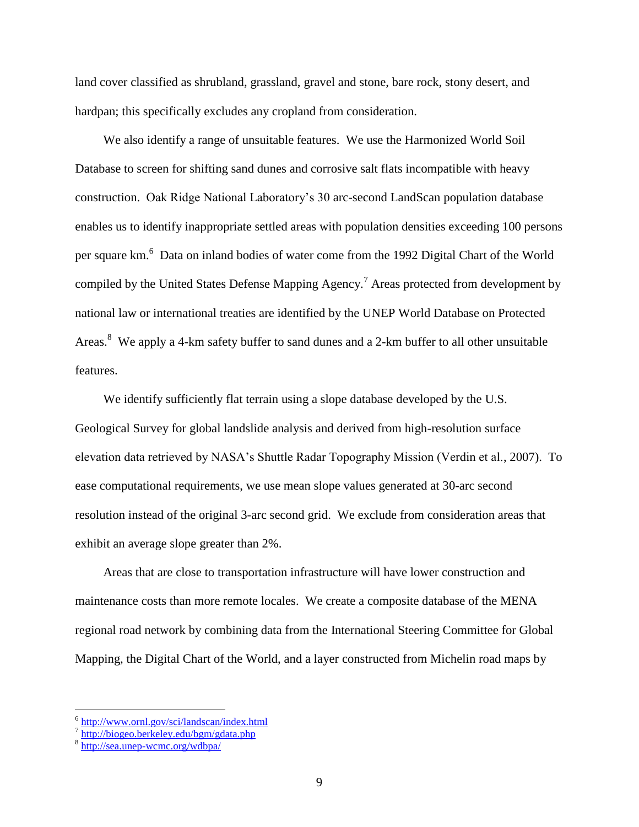land cover classified as shrubland, grassland, gravel and stone, bare rock, stony desert, and hardpan; this specifically excludes any cropland from consideration.

We also identify a range of unsuitable features. We use the Harmonized World Soil Database to screen for shifting sand dunes and corrosive salt flats incompatible with heavy construction. Oak Ridge National Laboratory's 30 arc-second LandScan population database enables us to identify inappropriate settled areas with population densities exceeding 100 persons per square km. <sup>6</sup> Data on inland bodies of water come from the 1992 Digital Chart of the World compiled by the United States Defense Mapping Agency.<sup>7</sup> Areas protected from development by national law or international treaties are identified by the UNEP World Database on Protected Areas.<sup>8</sup> We apply a 4-km safety buffer to sand dunes and a 2-km buffer to all other unsuitable features.

We identify sufficiently flat terrain using a slope database developed by the U.S. Geological Survey for global landslide analysis and derived from high-resolution surface elevation data retrieved by NASA's Shuttle Radar Topography Mission (Verdin et al., 2007). To ease computational requirements, we use mean slope values generated at 30-arc second resolution instead of the original 3-arc second grid. We exclude from consideration areas that exhibit an average slope greater than 2%.

Areas that are close to transportation infrastructure will have lower construction and maintenance costs than more remote locales. We create a composite database of the MENA regional road network by combining data from the International Steering Committee for Global Mapping, the Digital Chart of the World, and a layer constructed from Michelin road maps by

<sup>&</sup>lt;sup>6</sup> <http://www.ornl.gov/sci/landscan/index.html>

<sup>&</sup>lt;sup>7</sup> <http://biogeo.berkeley.edu/bgm/gdata.php>

<sup>8</sup> <http://sea.unep-wcmc.org/wdbpa/>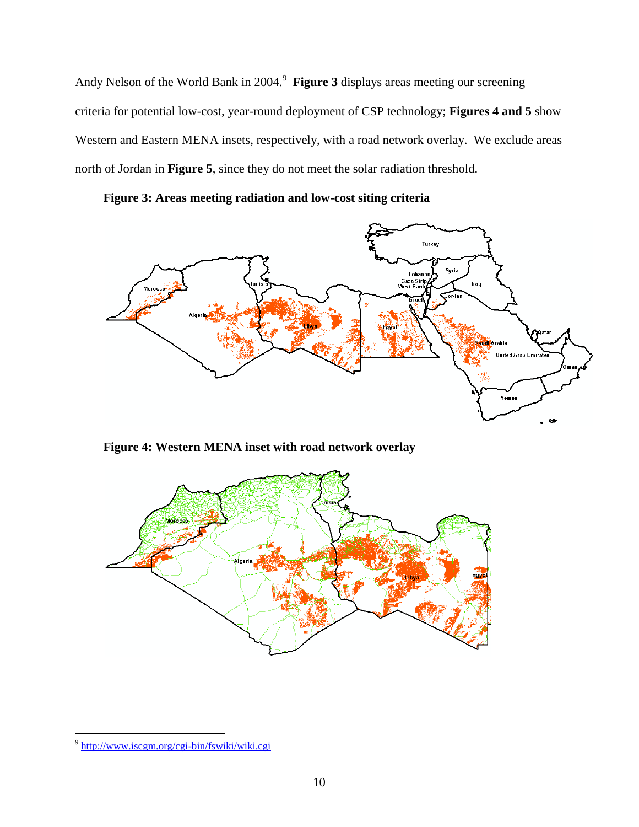Andy Nelson of the World Bank in 2004.<sup>9</sup> Figure 3 displays areas meeting our screening criteria for potential low-cost, year-round deployment of CSP technology; **Figures 4 and 5** show Western and Eastern MENA insets, respectively, with a road network overlay. We exclude areas north of Jordan in **Figure 5**, since they do not meet the solar radiation threshold.

**Figure 3: Areas meeting radiation and low-cost siting criteria**



**Figure 4: Western MENA inset with road network overlay**



<sup>&</sup>lt;sup>9</sup> <http://www.iscgm.org/cgi-bin/fswiki/wiki.cgi>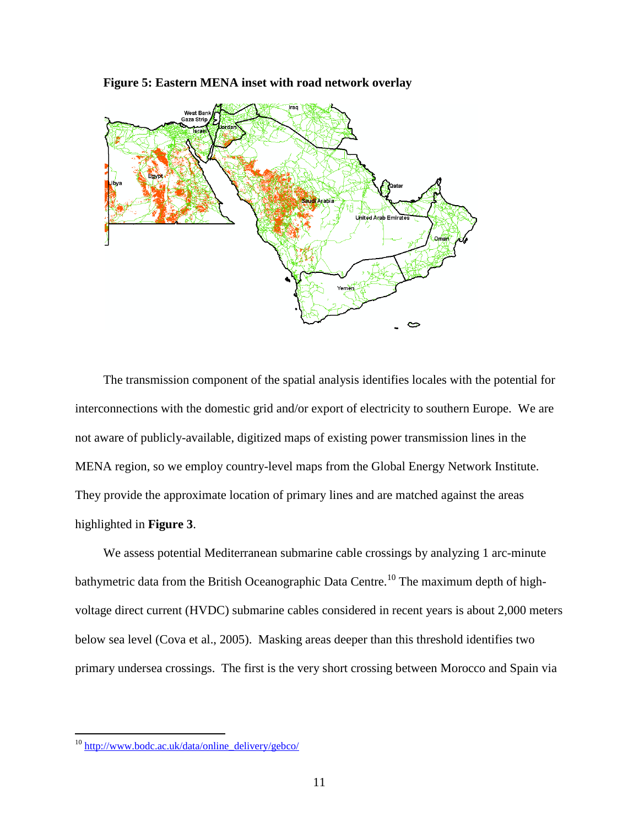

**Figure 5: Eastern MENA inset with road network overlay**

The transmission component of the spatial analysis identifies locales with the potential for interconnections with the domestic grid and/or export of electricity to southern Europe. We are not aware of publicly-available, digitized maps of existing power transmission lines in the MENA region, so we employ country-level maps from the Global Energy Network Institute. They provide the approximate location of primary lines and are matched against the areas highlighted in **Figure 3**.

We assess potential Mediterranean submarine cable crossings by analyzing 1 arc-minute bathymetric data from the British Oceanographic Data Centre.<sup>10</sup> The maximum depth of highvoltage direct current (HVDC) submarine cables considered in recent years is about 2,000 meters below sea level (Cova et al., 2005). Masking areas deeper than this threshold identifies two primary undersea crossings. The first is the very short crossing between Morocco and Spain via

 $10$  [http://www.bodc.ac.uk/data/online\\_delivery/gebco/](http://www.bodc.ac.uk/data/online_delivery/gebco/)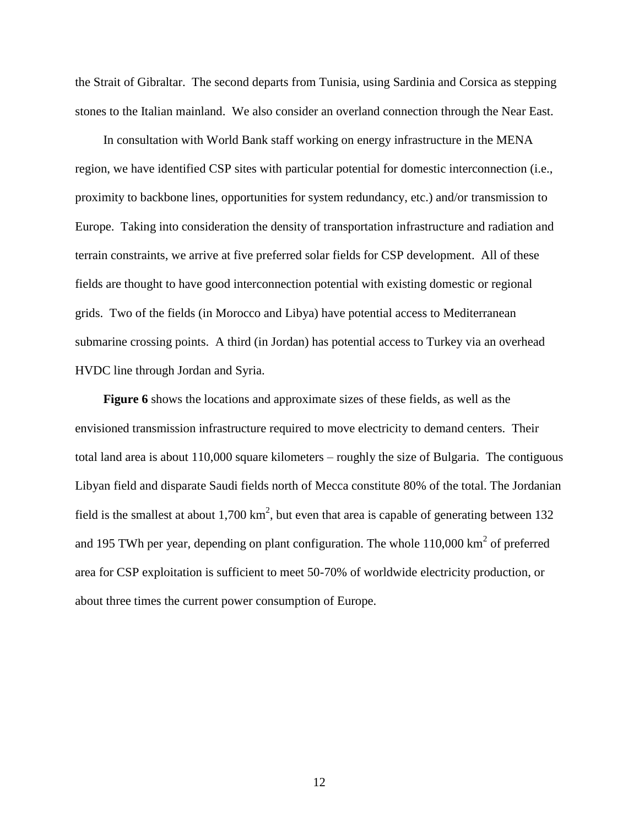the Strait of Gibraltar. The second departs from Tunisia, using Sardinia and Corsica as stepping stones to the Italian mainland. We also consider an overland connection through the Near East.

In consultation with World Bank staff working on energy infrastructure in the MENA region, we have identified CSP sites with particular potential for domestic interconnection (i.e., proximity to backbone lines, opportunities for system redundancy, etc.) and/or transmission to Europe. Taking into consideration the density of transportation infrastructure and radiation and terrain constraints, we arrive at five preferred solar fields for CSP development. All of these fields are thought to have good interconnection potential with existing domestic or regional grids. Two of the fields (in Morocco and Libya) have potential access to Mediterranean submarine crossing points. A third (in Jordan) has potential access to Turkey via an overhead HVDC line through Jordan and Syria.

**Figure 6** shows the locations and approximate sizes of these fields, as well as the envisioned transmission infrastructure required to move electricity to demand centers. Their total land area is about 110,000 square kilometers – roughly the size of Bulgaria. The contiguous Libyan field and disparate Saudi fields north of Mecca constitute 80% of the total. The Jordanian field is the smallest at about 1,700 km<sup>2</sup>, but even that area is capable of generating between 132 and 195 TWh per year, depending on plant configuration. The whole  $110,000 \text{ km}^2$  of preferred area for CSP exploitation is sufficient to meet 50-70% of worldwide electricity production, or about three times the current power consumption of Europe.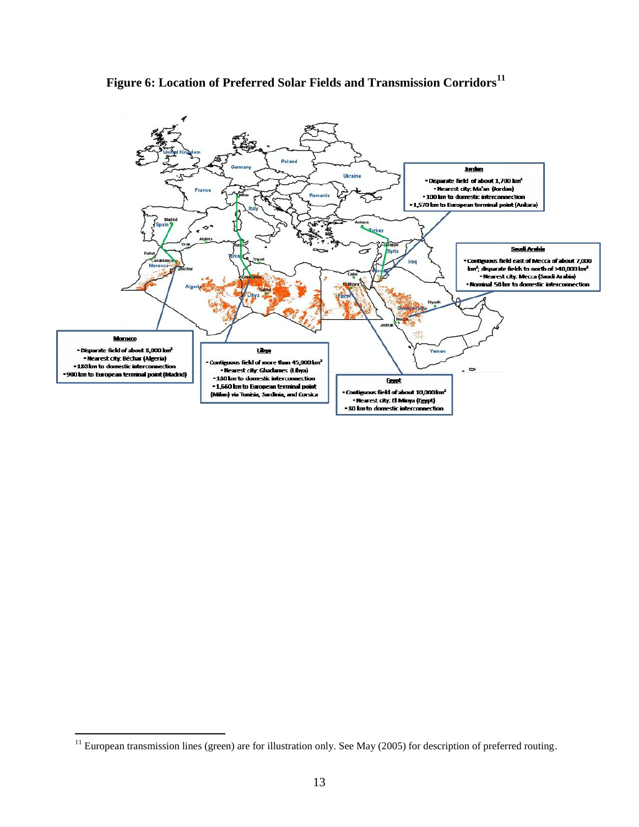

# **Figure 6: Location of Preferred Solar Fields and Transmission Corridors<sup>11</sup>**

 $11$  European transmission lines (green) are for illustration only. See May (2005) for description of preferred routing.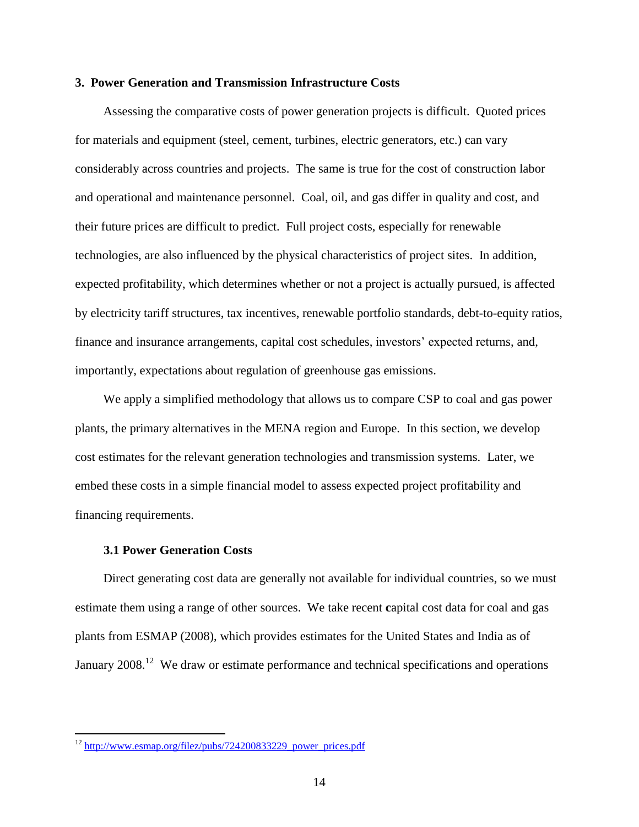#### **3. Power Generation and Transmission Infrastructure Costs**

Assessing the comparative costs of power generation projects is difficult. Quoted prices for materials and equipment (steel, cement, turbines, electric generators, etc.) can vary considerably across countries and projects. The same is true for the cost of construction labor and operational and maintenance personnel. Coal, oil, and gas differ in quality and cost, and their future prices are difficult to predict. Full project costs, especially for renewable technologies, are also influenced by the physical characteristics of project sites. In addition, expected profitability, which determines whether or not a project is actually pursued, is affected by electricity tariff structures, tax incentives, renewable portfolio standards, debt-to-equity ratios, finance and insurance arrangements, capital cost schedules, investors' expected returns, and, importantly, expectations about regulation of greenhouse gas emissions.

We apply a simplified methodology that allows us to compare CSP to coal and gas power plants, the primary alternatives in the MENA region and Europe. In this section, we develop cost estimates for the relevant generation technologies and transmission systems. Later, we embed these costs in a simple financial model to assess expected project profitability and financing requirements.

#### **3.1 Power Generation Costs**

 $\overline{a}$ 

Direct generating cost data are generally not available for individual countries, so we must estimate them using a range of other sources. We take recent **c**apital cost data for coal and gas plants from ESMAP (2008), which provides estimates for the United States and India as of January 2008.<sup>12</sup> We draw or estimate performance and technical specifications and operations

<sup>&</sup>lt;sup>12</sup> [http://www.esmap.org/filez/pubs/724200833229\\_power\\_prices.pdf](http://www.esmap.org/filez/pubs/724200833229_power_prices.pdf)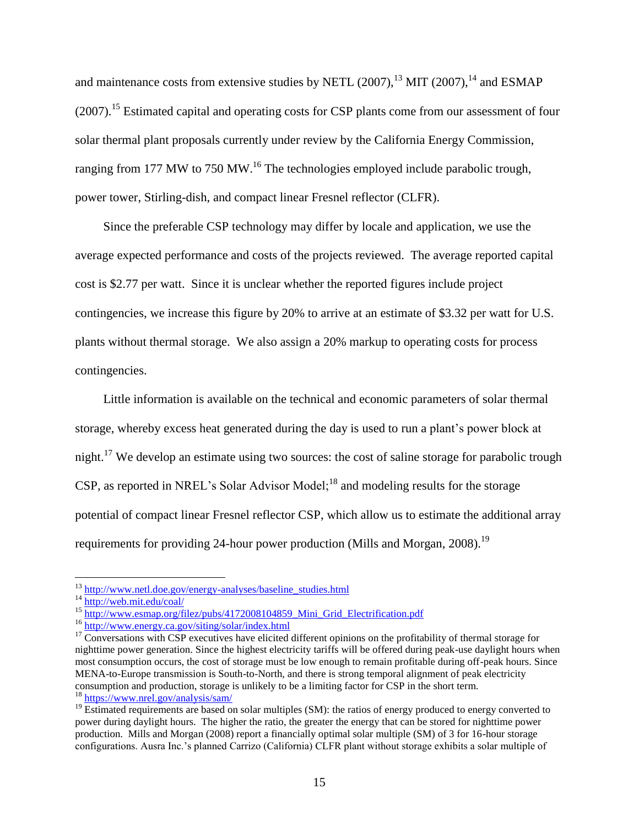and maintenance costs from extensive studies by NETL  $(2007)$ ,  $^{13}$  MIT  $(2007)$ ,  $^{14}$  and ESMAP  $(2007)$ <sup>15</sup> Estimated capital and operating costs for CSP plants come from our assessment of four solar thermal plant proposals currently under review by the California Energy Commission, ranging from 177 MW to 750 MW.<sup>16</sup> The technologies employed include parabolic trough, power tower, Stirling-dish, and compact linear Fresnel reflector (CLFR).

Since the preferable CSP technology may differ by locale and application, we use the average expected performance and costs of the projects reviewed. The average reported capital cost is \$2.77 per watt. Since it is unclear whether the reported figures include project contingencies, we increase this figure by 20% to arrive at an estimate of \$3.32 per watt for U.S. plants without thermal storage. We also assign a 20% markup to operating costs for process contingencies.

Little information is available on the technical and economic parameters of solar thermal storage, whereby excess heat generated during the day is used to run a plant's power block at night.<sup>17</sup> We develop an estimate using two sources: the cost of saline storage for parabolic trough CSP, as reported in NREL's Solar Advisor Model;<sup>18</sup> and modeling results for the storage potential of compact linear Fresnel reflector CSP, which allow us to estimate the additional array requirements for providing 24-hour power production (Mills and Morgan, 2008).<sup>19</sup>

<sup>&</sup>lt;sup>13</sup> [http://www.netl.doe.gov/energy-analyses/baseline\\_studies.html](http://www.netl.doe.gov/energy-analyses/baseline_studies.html)

<sup>14</sup> <http://web.mit.edu/coal/>

<sup>&</sup>lt;sup>15</sup> http://www.esmap.org/filez/pubs/4172008104859 Mini Grid Electrification.pdf

<sup>16</sup> <http://www.energy.ca.gov/siting/solar/index.html>

<sup>&</sup>lt;sup>17</sup> Conversations with CSP executives have elicited different opinions on the profitability of thermal storage for nighttime power generation. Since the highest electricity tariffs will be offered during peak-use daylight hours when most consumption occurs, the cost of storage must be low enough to remain profitable during off-peak hours. Since MENA-to-Europe transmission is South-to-North, and there is strong temporal alignment of peak electricity consumption and production, storage is unlikely to be a limiting factor for CSP in the short term. <sup>18</sup> <https://www.nrel.gov/analysis/sam/>

 $19$  Estimated requirements are based on solar multiples (SM): the ratios of energy produced to energy converted to power during daylight hours. The higher the ratio, the greater the energy that can be stored for nighttime power production. Mills and Morgan (2008) report a financially optimal solar multiple (SM) of 3 for 16-hour storage configurations. Ausra Inc.'s planned Carrizo (California) CLFR plant without storage exhibits a solar multiple of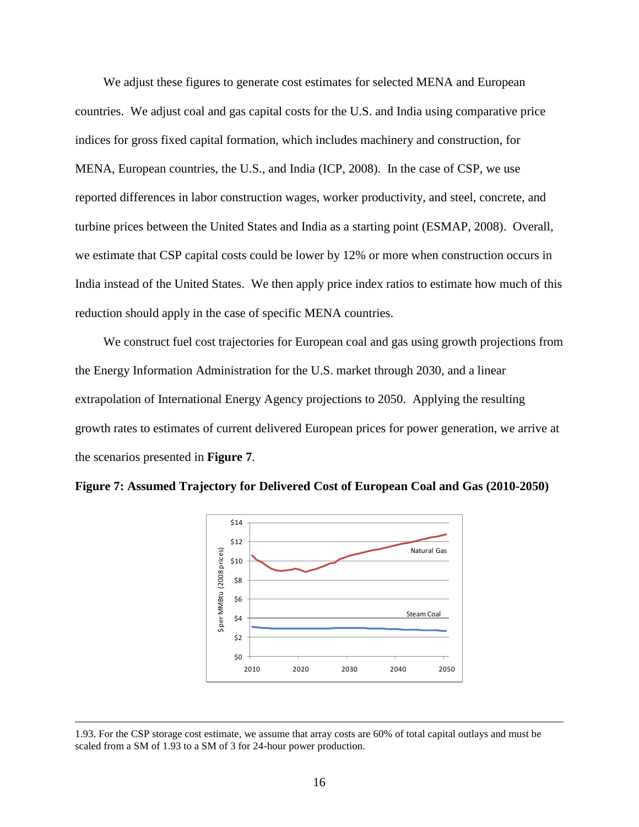We adjust these figures to generate cost estimates for selected MENA and European countries. We adjust coal and gas capital costs for the U.S. and India using comparative price indices for gross fixed capital formation, which includes machinery and construction, for MENA, European countries, the U.S., and India (ICP, 2008). In the case of CSP, we use reported differences in labor construction wages, worker productivity, and steel, concrete, and turbine prices between the United States and India as a starting point (ESMAP, 2008). Overall, we estimate that CSP capital costs could be lower by 12% or more when construction occurs in India instead of the United States. We then apply price index ratios to estimate how much of this reduction should apply in the case of specific MENA countries.

We construct fuel cost trajectories for European coal and gas using growth projections from the Energy Information Administration for the U.S. market through 2030, and a linear extrapolation of International Energy Agency projections to 2050. Applying the resulting growth rates to estimates of current delivered European prices for power generation, we arrive at the scenarios presented in **Figure 7**.





<sup>1.93.</sup> For the CSP storage cost estimate, we assume that array costs are 60% of total capital outlays and must be scaled from a SM of 1.93 to a SM of 3 for 24-hour power production.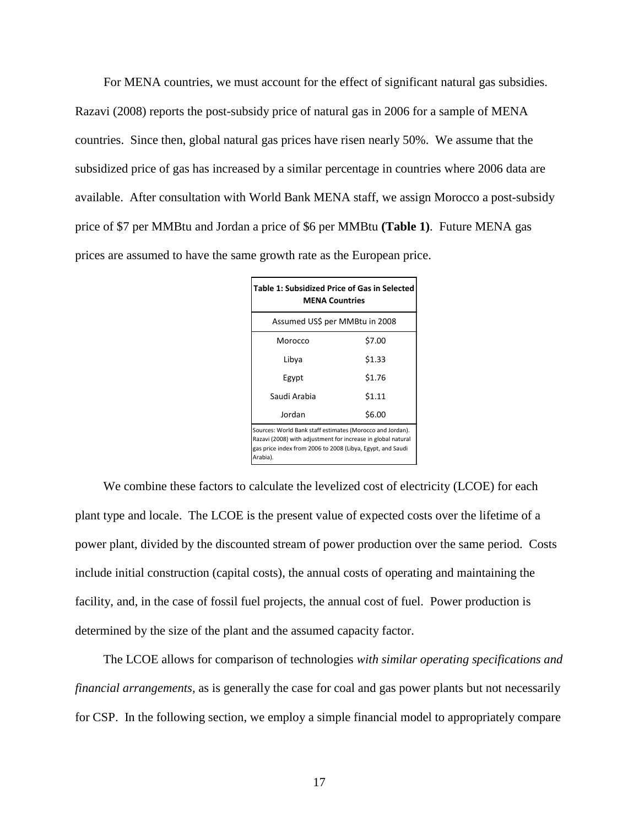For MENA countries, we must account for the effect of significant natural gas subsidies. Razavi (2008) reports the post-subsidy price of natural gas in 2006 for a sample of MENA countries. Since then, global natural gas prices have risen nearly 50%. We assume that the subsidized price of gas has increased by a similar percentage in countries where 2006 data are available. After consultation with World Bank MENA staff, we assign Morocco a post-subsidy price of \$7 per MMBtu and Jordan a price of \$6 per MMBtu **(Table 1)**. Future MENA gas prices are assumed to have the same growth rate as the European price.

| Table 1: Subsidized Price of Gas in Selected<br><b>MENA Countries</b>                                                                                                                               |        |
|-----------------------------------------------------------------------------------------------------------------------------------------------------------------------------------------------------|--------|
| Assumed US\$ per MMBtu in 2008                                                                                                                                                                      |        |
| Morocco                                                                                                                                                                                             | \$7.00 |
| Libya                                                                                                                                                                                               | \$1.33 |
| Egypt                                                                                                                                                                                               | \$1.76 |
| Saudi Arabia                                                                                                                                                                                        | \$1.11 |
| Jordan                                                                                                                                                                                              | \$6.00 |
| Sources: World Bank staff estimates (Morocco and Jordan).<br>Razavi (2008) with adjustment for increase in global natural<br>gas price index from 2006 to 2008 (Libya, Egypt, and Saudi<br>Arabia). |        |

We combine these factors to calculate the levelized cost of electricity (LCOE) for each plant type and locale. The LCOE is the present value of expected costs over the lifetime of a power plant, divided by the discounted stream of power production over the same period. Costs include initial construction (capital costs), the annual costs of operating and maintaining the facility, and, in the case of fossil fuel projects, the annual cost of fuel. Power production is determined by the size of the plant and the assumed capacity factor.

The LCOE allows for comparison of technologies *with similar operating specifications and financial arrangements*, as is generally the case for coal and gas power plants but not necessarily for CSP. In the following section, we employ a simple financial model to appropriately compare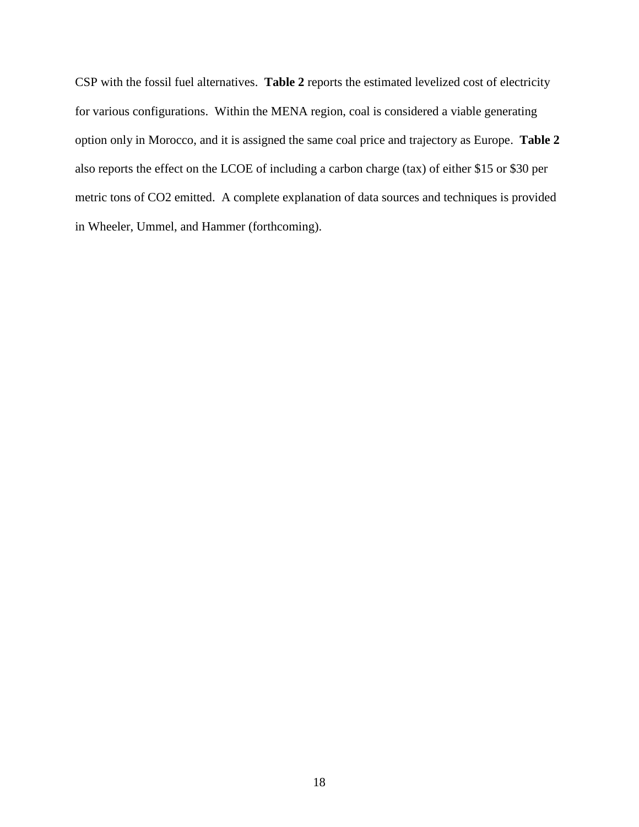CSP with the fossil fuel alternatives. **Table 2** reports the estimated levelized cost of electricity for various configurations. Within the MENA region, coal is considered a viable generating option only in Morocco, and it is assigned the same coal price and trajectory as Europe. **Table 2** also reports the effect on the LCOE of including a carbon charge (tax) of either \$15 or \$30 per metric tons of CO2 emitted. A complete explanation of data sources and techniques is provided in Wheeler, Ummel, and Hammer (forthcoming).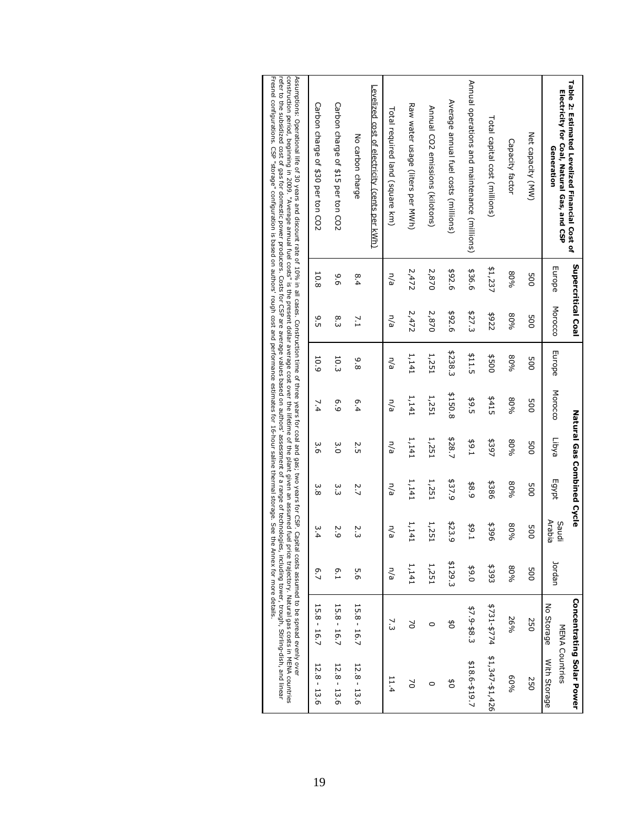| Table 2: Estimated Levelized Financial Cost of                                                                                                                                                                                                                                                                                                                                                                                                                                                                                                                                                                                                                                                                                                                                                                            | Supercritical Coal |                 |            |                |        | Natural Gas Combined Cycle |            |            |               | Concentrating Solar Power |
|---------------------------------------------------------------------------------------------------------------------------------------------------------------------------------------------------------------------------------------------------------------------------------------------------------------------------------------------------------------------------------------------------------------------------------------------------------------------------------------------------------------------------------------------------------------------------------------------------------------------------------------------------------------------------------------------------------------------------------------------------------------------------------------------------------------------------|--------------------|-----------------|------------|----------------|--------|----------------------------|------------|------------|---------------|---------------------------|
| Electricity for Coal, Natural Gas, and CSP                                                                                                                                                                                                                                                                                                                                                                                                                                                                                                                                                                                                                                                                                                                                                                                |                    |                 |            |                |        |                            | Saudi      |            |               | MENA Countries            |
| Generation                                                                                                                                                                                                                                                                                                                                                                                                                                                                                                                                                                                                                                                                                                                                                                                                                | Europe             | <b>Morocco</b>  | Europe     | <b>Morocco</b> | Eydil  | Egypt                      | Arabia     | Jordan     | No Storage    | With Storage              |
| Net capacity (MW)                                                                                                                                                                                                                                                                                                                                                                                                                                                                                                                                                                                                                                                                                                                                                                                                         | <b>500</b>         | <b>500</b>      | <b>500</b> | <b>SOG</b>     | 005    | <b>500</b>                 | <b>DOG</b> | <b>500</b> | 250           | 250                       |
| Capacity factor                                                                                                                                                                                                                                                                                                                                                                                                                                                                                                                                                                                                                                                                                                                                                                                                           | 9608               | 80%             | 80%        | 80%            | 80%    | 9608                       | 80%        | 80%        | 26%           | 60%                       |
| Total capital cost (millions)                                                                                                                                                                                                                                                                                                                                                                                                                                                                                                                                                                                                                                                                                                                                                                                             | \$1,237            | 2852            | 005\$      | \$415          | \$397  | \$386                      | \$396      | \$393      | 4731-\$774    | \$1,347-\$1,426           |
| Annual operations and maintenance (millions)                                                                                                                                                                                                                                                                                                                                                                                                                                                                                                                                                                                                                                                                                                                                                                              | \$36.6             | \$27.3          | \$11.5     | 39.5           | 1.64   | 6.84                       | 1.64       | 0.64       | \$7.9-\$8.3   | \$18.6-\$19.7             |
| Average annual fuel costs (millions)                                                                                                                                                                                                                                                                                                                                                                                                                                                                                                                                                                                                                                                                                                                                                                                      | \$92.6             | \$92.6          | \$238.3    | \$150.8        | \$28.7 | \$37.9                     | \$23.      | \$129.3    | రో            | \$0                       |
| Annual CO2 emissions (kilotons)                                                                                                                                                                                                                                                                                                                                                                                                                                                                                                                                                                                                                                                                                                                                                                                           | 2,870              | 2,870           | 1,251      | 1,251          | 1,251  | 1,251                      | 1,25       | 1,251      | 0             | 0                         |
| Raw water usage (liters per MWh)                                                                                                                                                                                                                                                                                                                                                                                                                                                                                                                                                                                                                                                                                                                                                                                          | 2472               | 2,472           | 1, 141     | 1, 141         | 1, 141 | 1, 141                     | 1, 14.     | 1, 141     | $\geq$        | $\geq$                    |
| Total required land (square km)                                                                                                                                                                                                                                                                                                                                                                                                                                                                                                                                                                                                                                                                                                                                                                                           | n/a                | n/a             | n/a        | n/a            | n/a    | n/a                        | n/a        | n/a        | ر<br>ئ        | 11.4                      |
| Levelized cost of electricity (cents per kWh)                                                                                                                                                                                                                                                                                                                                                                                                                                                                                                                                                                                                                                                                                                                                                                             |                    |                 |            |                |        |                            |            |            |               |                           |
| No carbon charge                                                                                                                                                                                                                                                                                                                                                                                                                                                                                                                                                                                                                                                                                                                                                                                                          | ∞<br>4             | $\overline{11}$ | 9.8        | 6.4            | Σ.     | 2.7                        | 2.3        | 5.6        | $15.8 - 16.7$ | $12.8 - 13.6$             |
| Carbon charge of \$15 per ton CO2                                                                                                                                                                                                                                                                                                                                                                                                                                                                                                                                                                                                                                                                                                                                                                                         | 9.6                | 8.3             | 10.3       | 6.9            | ε<br>Ο | س<br>سا                    | 2.9        | 6.1        | $15.8 - 16.7$ | $12.8 - 13.6$             |
| Carbon charge of \$30 per ton CO2                                                                                                                                                                                                                                                                                                                                                                                                                                                                                                                                                                                                                                                                                                                                                                                         | 10.8               | ە.<br>ت         | 10.9       | 7.4            | ς<br>Θ | ω<br>စ်                    | 3.4        | 6.7        | $15.8 - 16.7$ | $12.8 - 13.6$             |
| Fresnel configurations. CSP 'storage" configuration is based on authors' rough cost and performance estimates for 16-hour saline thermal storage. See the Annex for more details.<br>construction period, beginning in 2009. "Average annual fuel costs" is the present dollar average cost over the lifetime of the plant given an assumed fuel price trajectory. Natural gas costs in MENA countries<br>Assumptions: Operational life of 30 years and discount rate of 10% in all cases. Construction time of three years for coal and gas; two years for CSP. Capital costs assumed to be spread evenly over<br>refer to the subsidized cost of gas for domeer producers. Costs for CSP are average values based on authors' assessment of a range of technologies, including tower, trough, Stirling-dish, and linear |                    |                 |            |                |        |                            |            |            |               |                           |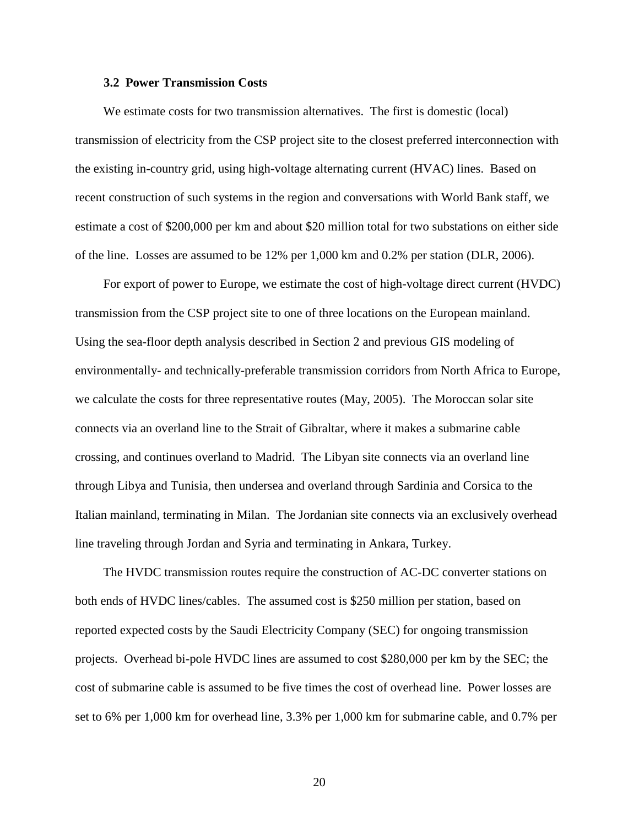#### **3.2 Power Transmission Costs**

We estimate costs for two transmission alternatives. The first is domestic (local) transmission of electricity from the CSP project site to the closest preferred interconnection with the existing in-country grid, using high-voltage alternating current (HVAC) lines. Based on recent construction of such systems in the region and conversations with World Bank staff, we estimate a cost of \$200,000 per km and about \$20 million total for two substations on either side of the line. Losses are assumed to be 12% per 1,000 km and 0.2% per station (DLR, 2006).

For export of power to Europe, we estimate the cost of high-voltage direct current (HVDC) transmission from the CSP project site to one of three locations on the European mainland. Using the sea-floor depth analysis described in Section 2 and previous GIS modeling of environmentally- and technically-preferable transmission corridors from North Africa to Europe, we calculate the costs for three representative routes (May, 2005). The Moroccan solar site connects via an overland line to the Strait of Gibraltar, where it makes a submarine cable crossing, and continues overland to Madrid. The Libyan site connects via an overland line through Libya and Tunisia, then undersea and overland through Sardinia and Corsica to the Italian mainland, terminating in Milan. The Jordanian site connects via an exclusively overhead line traveling through Jordan and Syria and terminating in Ankara, Turkey.

The HVDC transmission routes require the construction of AC-DC converter stations on both ends of HVDC lines/cables. The assumed cost is \$250 million per station, based on reported expected costs by the Saudi Electricity Company (SEC) for ongoing transmission projects. Overhead bi-pole HVDC lines are assumed to cost \$280,000 per km by the SEC; the cost of submarine cable is assumed to be five times the cost of overhead line. Power losses are set to 6% per 1,000 km for overhead line, 3.3% per 1,000 km for submarine cable, and 0.7% per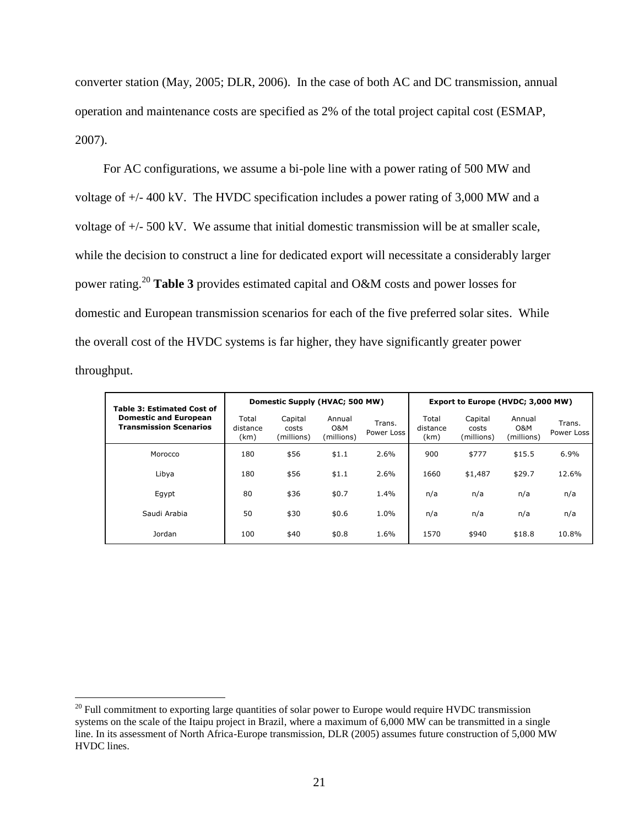converter station (May, 2005; DLR, 2006). In the case of both AC and DC transmission, annual operation and maintenance costs are specified as 2% of the total project capital cost (ESMAP, 2007).

For AC configurations, we assume a bi-pole line with a power rating of 500 MW and voltage of +/- 400 kV. The HVDC specification includes a power rating of 3,000 MW and a voltage of +/- 500 kV. We assume that initial domestic transmission will be at smaller scale, while the decision to construct a line for dedicated export will necessitate a considerably larger power rating.<sup>20</sup> **Table 3** provides estimated capital and O&M costs and power losses for domestic and European transmission scenarios for each of the five preferred solar sites. While the overall cost of the HVDC systems is far higher, they have significantly greater power throughput.

| <b>Table 3: Estimated Cost of</b>                             | Domestic Supply (HVAC; 500 MW) |                                |                             |                      | Export to Europe (HVDC; 3,000 MW) |                                |                                        |                      |  |
|---------------------------------------------------------------|--------------------------------|--------------------------------|-----------------------------|----------------------|-----------------------------------|--------------------------------|----------------------------------------|----------------------|--|
| <b>Domestic and European</b><br><b>Transmission Scenarios</b> | Total<br>distance<br>(km)      | Capital<br>costs<br>(millions) | Annual<br>0&M<br>(millions) | Trans.<br>Power Loss | Total<br>distance<br>(km)         | Capital<br>costs<br>(millions) | Annual<br><b>O&amp;M</b><br>(millions) | Trans.<br>Power Loss |  |
| Morocco                                                       | 180                            | \$56                           | \$1.1                       | 2.6%                 | 900                               | \$777                          | \$15.5                                 | 6.9%                 |  |
| Libya                                                         | 180                            | \$56                           | \$1.1                       | 2.6%                 | 1660                              | \$1,487                        | \$29.7                                 | 12.6%                |  |
| Egypt                                                         | 80                             | \$36                           | \$0.7                       | 1.4%                 | n/a                               | n/a                            | n/a                                    | n/a                  |  |
| Saudi Arabia                                                  | 50                             | \$30                           | \$0.6                       | 1.0%                 | n/a                               | n/a                            | n/a                                    | n/a                  |  |
| Jordan                                                        | 100                            | \$40                           | \$0.8                       | 1.6%                 | 1570                              | \$940                          | \$18.8                                 | 10.8%                |  |

 $20$  Full commitment to exporting large quantities of solar power to Europe would require HVDC transmission systems on the scale of the Itaipu project in Brazil, where a maximum of 6,000 MW can be transmitted in a single line. In its assessment of North Africa-Europe transmission, DLR (2005) assumes future construction of 5,000 MW HVDC lines.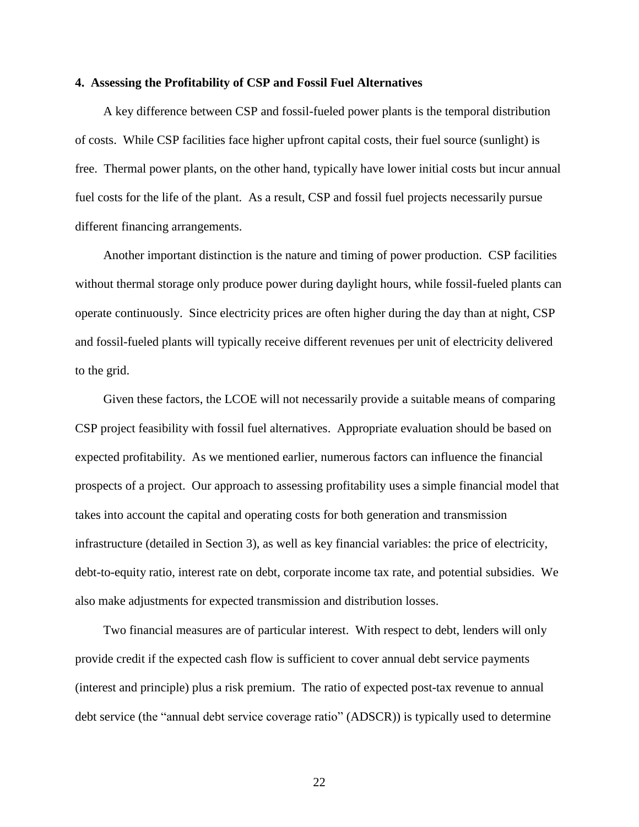#### **4. Assessing the Profitability of CSP and Fossil Fuel Alternatives**

A key difference between CSP and fossil-fueled power plants is the temporal distribution of costs. While CSP facilities face higher upfront capital costs, their fuel source (sunlight) is free. Thermal power plants, on the other hand, typically have lower initial costs but incur annual fuel costs for the life of the plant. As a result, CSP and fossil fuel projects necessarily pursue different financing arrangements.

Another important distinction is the nature and timing of power production. CSP facilities without thermal storage only produce power during daylight hours, while fossil-fueled plants can operate continuously. Since electricity prices are often higher during the day than at night, CSP and fossil-fueled plants will typically receive different revenues per unit of electricity delivered to the grid.

Given these factors, the LCOE will not necessarily provide a suitable means of comparing CSP project feasibility with fossil fuel alternatives. Appropriate evaluation should be based on expected profitability. As we mentioned earlier, numerous factors can influence the financial prospects of a project. Our approach to assessing profitability uses a simple financial model that takes into account the capital and operating costs for both generation and transmission infrastructure (detailed in Section 3), as well as key financial variables: the price of electricity, debt-to-equity ratio, interest rate on debt, corporate income tax rate, and potential subsidies. We also make adjustments for expected transmission and distribution losses.

Two financial measures are of particular interest. With respect to debt, lenders will only provide credit if the expected cash flow is sufficient to cover annual debt service payments (interest and principle) plus a risk premium. The ratio of expected post-tax revenue to annual debt service (the "annual debt service coverage ratio" (ADSCR)) is typically used to determine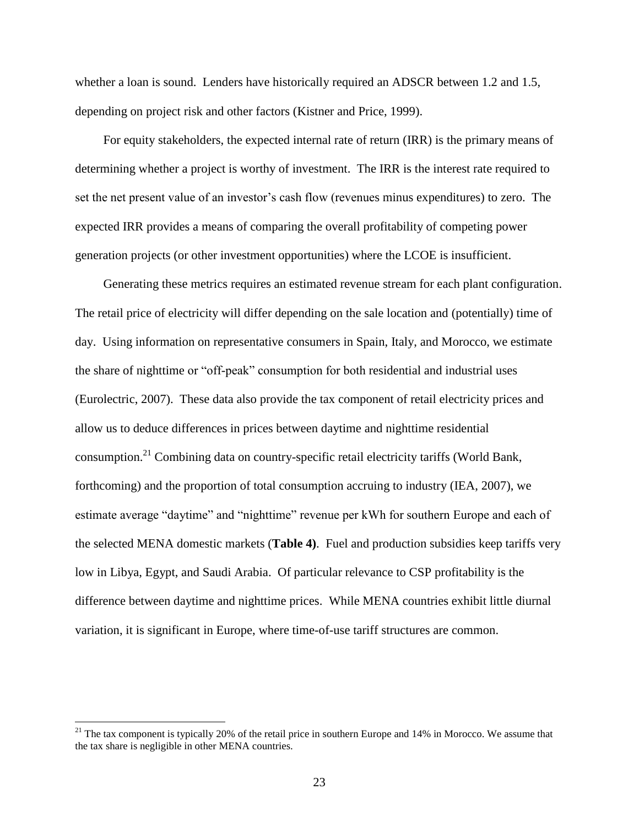whether a loan is sound. Lenders have historically required an ADSCR between 1.2 and 1.5, depending on project risk and other factors (Kistner and Price, 1999).

For equity stakeholders, the expected internal rate of return (IRR) is the primary means of determining whether a project is worthy of investment. The IRR is the interest rate required to set the net present value of an investor's cash flow (revenues minus expenditures) to zero. The expected IRR provides a means of comparing the overall profitability of competing power generation projects (or other investment opportunities) where the LCOE is insufficient.

Generating these metrics requires an estimated revenue stream for each plant configuration. The retail price of electricity will differ depending on the sale location and (potentially) time of day. Using information on representative consumers in Spain, Italy, and Morocco, we estimate the share of nighttime or "off-peak" consumption for both residential and industrial uses (Eurolectric, 2007). These data also provide the tax component of retail electricity prices and allow us to deduce differences in prices between daytime and nighttime residential consumption.<sup>21</sup> Combining data on country-specific retail electricity tariffs (World Bank, forthcoming) and the proportion of total consumption accruing to industry (IEA, 2007), we estimate average "daytime" and "nighttime" revenue per kWh for southern Europe and each of the selected MENA domestic markets (**Table 4)**. Fuel and production subsidies keep tariffs very low in Libya, Egypt, and Saudi Arabia. Of particular relevance to CSP profitability is the difference between daytime and nighttime prices. While MENA countries exhibit little diurnal variation, it is significant in Europe, where time-of-use tariff structures are common.

<sup>&</sup>lt;sup>21</sup> The tax component is typically 20% of the retail price in southern Europe and 14% in Morocco. We assume that the tax share is negligible in other MENA countries.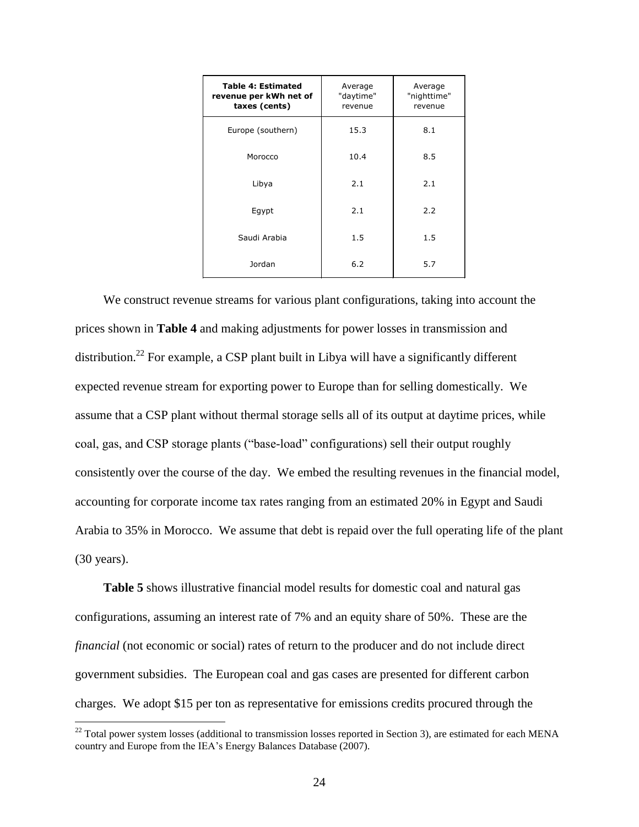| Table 4: Estimated<br>revenue per kWh net of<br>taxes (cents) | Average<br>"daytime"<br>revenue | Average<br>"nighttime"<br>revenue |
|---------------------------------------------------------------|---------------------------------|-----------------------------------|
| Europe (southern)                                             | 15.3                            | 8.1                               |
| Morocco                                                       | 10.4                            | 8.5                               |
| Libya                                                         | 2.1                             | 2.1                               |
| Egypt                                                         | 2.1                             | 2.2                               |
| Saudi Arabia                                                  | 1.5                             | 1.5                               |
| Jordan                                                        | 6.2                             | 5.7                               |

We construct revenue streams for various plant configurations, taking into account the prices shown in **Table 4** and making adjustments for power losses in transmission and distribution.<sup>22</sup> For example, a CSP plant built in Libya will have a significantly different expected revenue stream for exporting power to Europe than for selling domestically. We assume that a CSP plant without thermal storage sells all of its output at daytime prices, while coal, gas, and CSP storage plants ("base-load" configurations) sell their output roughly consistently over the course of the day. We embed the resulting revenues in the financial model, accounting for corporate income tax rates ranging from an estimated 20% in Egypt and Saudi Arabia to 35% in Morocco. We assume that debt is repaid over the full operating life of the plant (30 years).

**Table 5** shows illustrative financial model results for domestic coal and natural gas configurations, assuming an interest rate of 7% and an equity share of 50%. These are the *financial* (not economic or social) rates of return to the producer and do not include direct government subsidies. The European coal and gas cases are presented for different carbon charges. We adopt \$15 per ton as representative for emissions credits procured through the

 $^{22}$  Total power system losses (additional to transmission losses reported in Section 3), are estimated for each MENA country and Europe from the IEA's Energy Balances Database (2007).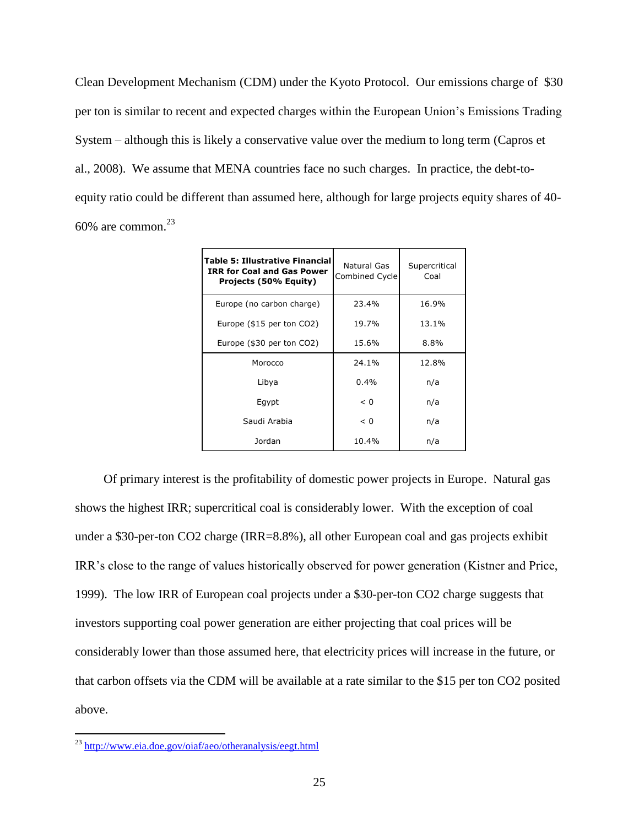Clean Development Mechanism (CDM) under the Kyoto Protocol. Our emissions charge of \$30 per ton is similar to recent and expected charges within the European Union's Emissions Trading System – although this is likely a conservative value over the medium to long term (Capros et al., 2008). We assume that MENA countries face no such charges. In practice, the debt-toequity ratio could be different than assumed here, although for large projects equity shares of 40- 60% are common. 23

| <b>Table 5: Illustrative Financial</b><br><b>IRR for Coal and Gas Power</b><br>Projects (50% Equity) | Natural Gas<br>Combined Cycle | Supercritical<br>Coal |
|------------------------------------------------------------------------------------------------------|-------------------------------|-----------------------|
| Europe (no carbon charge)                                                                            | 23.4%                         | 16.9%                 |
| Europe (\$15 per ton CO2)                                                                            | 19.7%                         | 13.1%                 |
| Europe (\$30 per ton CO2)                                                                            | 15.6%                         | $8.8\%$               |
| Morocco                                                                                              | 24.1%                         | 12.8%                 |
| Libya                                                                                                | 0.4%                          | n/a                   |
| Egypt                                                                                                | < 0                           | n/a                   |
| Saudi Arabia                                                                                         | < 0                           | n/a                   |
| Jordan                                                                                               | 10.4%                         | n/a                   |

Of primary interest is the profitability of domestic power projects in Europe. Natural gas shows the highest IRR; supercritical coal is considerably lower. With the exception of coal under a \$30-per-ton CO2 charge (IRR=8.8%), all other European coal and gas projects exhibit IRR's close to the range of values historically observed for power generation (Kistner and Price, 1999). The low IRR of European coal projects under a \$30-per-ton CO2 charge suggests that investors supporting coal power generation are either projecting that coal prices will be considerably lower than those assumed here, that electricity prices will increase in the future, or that carbon offsets via the CDM will be available at a rate similar to the \$15 per ton CO2 posited above.

<sup>&</sup>lt;sup>23</sup> <http://www.eia.doe.gov/oiaf/aeo/otheranalysis/eegt.html>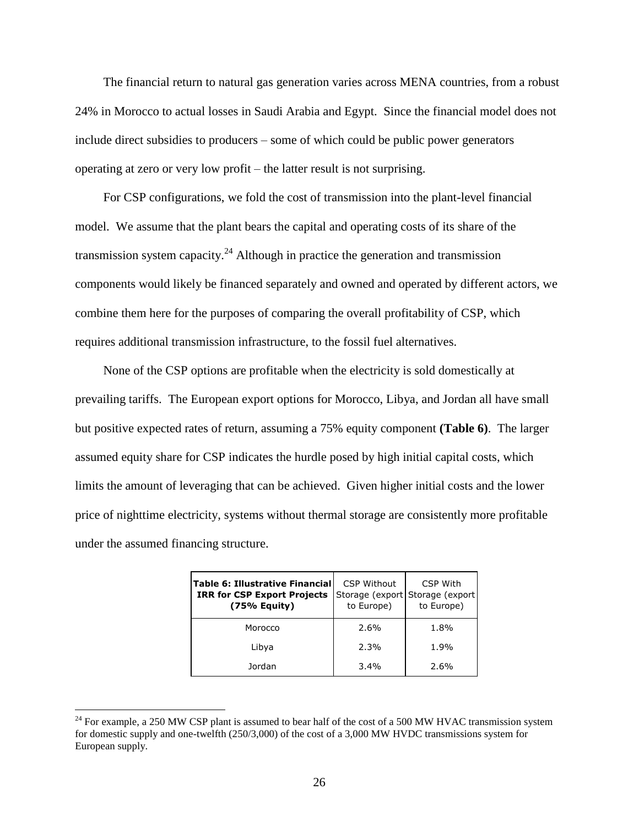The financial return to natural gas generation varies across MENA countries, from a robust 24% in Morocco to actual losses in Saudi Arabia and Egypt. Since the financial model does not include direct subsidies to producers – some of which could be public power generators operating at zero or very low profit – the latter result is not surprising.

For CSP configurations, we fold the cost of transmission into the plant-level financial model. We assume that the plant bears the capital and operating costs of its share of the transmission system capacity.<sup>24</sup> Although in practice the generation and transmission components would likely be financed separately and owned and operated by different actors, we combine them here for the purposes of comparing the overall profitability of CSP, which requires additional transmission infrastructure, to the fossil fuel alternatives.

None of the CSP options are profitable when the electricity is sold domestically at prevailing tariffs. The European export options for Morocco, Libya, and Jordan all have small but positive expected rates of return, assuming a 75% equity component **(Table 6)**.The larger assumed equity share for CSP indicates the hurdle posed by high initial capital costs, which limits the amount of leveraging that can be achieved. Given higher initial costs and the lower price of nighttime electricity, systems without thermal storage are consistently more profitable under the assumed financing structure.

| <b>Table 6: Illustrative Financial</b><br><b>IRR for CSP Export Projects</b><br>(75% Equity) | <b>CSP Without</b><br>to Europe) | CSP With<br>Storage (export Storage (export<br>to Europe) |
|----------------------------------------------------------------------------------------------|----------------------------------|-----------------------------------------------------------|
| Morocco                                                                                      | 2.6%                             | 1.8%                                                      |
| Libya                                                                                        | 2.3%                             | 1.9%                                                      |
| Jordan                                                                                       | $3.4\%$                          | 2.6%                                                      |

 $24$  For example, a 250 MW CSP plant is assumed to bear half of the cost of a 500 MW HVAC transmission system for domestic supply and one-twelfth (250/3,000) of the cost of a 3,000 MW HVDC transmissions system for European supply.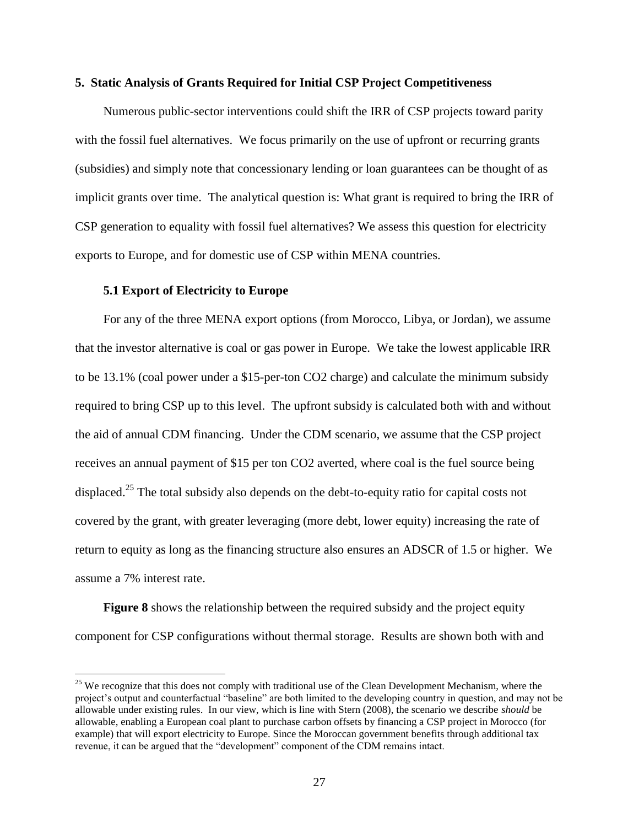#### **5. Static Analysis of Grants Required for Initial CSP Project Competitiveness**

Numerous public-sector interventions could shift the IRR of CSP projects toward parity with the fossil fuel alternatives. We focus primarily on the use of upfront or recurring grants (subsidies) and simply note that concessionary lending or loan guarantees can be thought of as implicit grants over time. The analytical question is: What grant is required to bring the IRR of CSP generation to equality with fossil fuel alternatives? We assess this question for electricity exports to Europe, and for domestic use of CSP within MENA countries.

#### **5.1 Export of Electricity to Europe**

 $\overline{a}$ 

For any of the three MENA export options (from Morocco, Libya, or Jordan), we assume that the investor alternative is coal or gas power in Europe. We take the lowest applicable IRR to be 13.1% (coal power under a \$15-per-ton CO2 charge) and calculate the minimum subsidy required to bring CSP up to this level. The upfront subsidy is calculated both with and without the aid of annual CDM financing. Under the CDM scenario, we assume that the CSP project receives an annual payment of \$15 per ton CO2 averted, where coal is the fuel source being displaced.<sup>25</sup> The total subsidy also depends on the debt-to-equity ratio for capital costs not covered by the grant, with greater leveraging (more debt, lower equity) increasing the rate of return to equity as long as the financing structure also ensures an ADSCR of 1.5 or higher. We assume a 7% interest rate.

**Figure 8** shows the relationship between the required subsidy and the project equity component for CSP configurations without thermal storage. Results are shown both with and

<sup>&</sup>lt;sup>25</sup> We recognize that this does not comply with traditional use of the Clean Development Mechanism, where the project's output and counterfactual "baseline" are both limited to the developing country in question, and may not be allowable under existing rules. In our view, which is line with Stern (2008), the scenario we describe *should* be allowable, enabling a European coal plant to purchase carbon offsets by financing a CSP project in Morocco (for example) that will export electricity to Europe. Since the Moroccan government benefits through additional tax revenue, it can be argued that the "development" component of the CDM remains intact.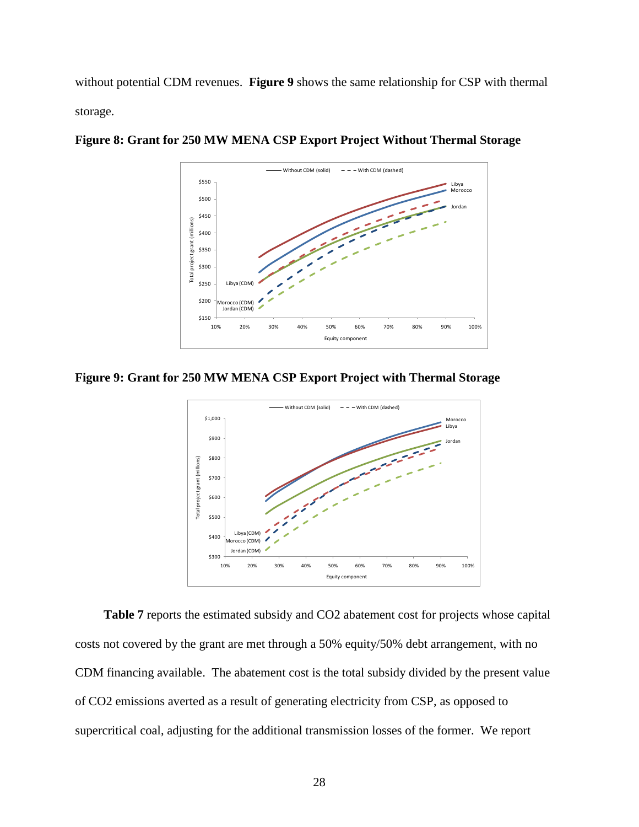without potential CDM revenues. **Figure 9** shows the same relationship for CSP with thermal storage.



**Figure 8: Grant for 250 MW MENA CSP Export Project Without Thermal Storage**

**Figure 9: Grant for 250 MW MENA CSP Export Project with Thermal Storage**



**Table 7** reports the estimated subsidy and CO2 abatement cost for projects whose capital costs not covered by the grant are met through a 50% equity/50% debt arrangement, with no CDM financing available. The abatement cost is the total subsidy divided by the present value of CO2 emissions averted as a result of generating electricity from CSP, as opposed to supercritical coal, adjusting for the additional transmission losses of the former. We report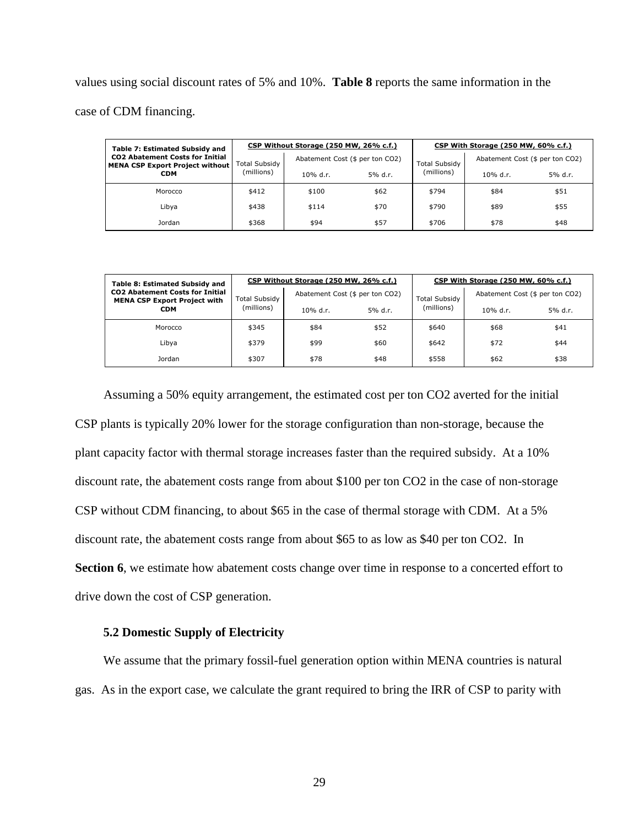values using social discount rates of 5% and 10%. **Table 8** reports the same information in the case of CDM financing.

| Table 7: Estimated Subsidy and |                                                                           |                      | CSP Without Storage (250 MW, 26% c.f.) |                                 | CSP With Storage (250 MW, 60% c.f.) |             |                                 |  |
|--------------------------------|---------------------------------------------------------------------------|----------------------|----------------------------------------|---------------------------------|-------------------------------------|-------------|---------------------------------|--|
|                                | <b>CO2 Abatement Costs for Initial</b><br>MENA CSP Export Project without | <b>Total Subsidy</b> |                                        | Abatement Cost (\$ per ton CO2) | <b>Total Subsidy</b>                |             | Abatement Cost (\$ per ton CO2) |  |
|                                | <b>CDM</b>                                                                | (millions)           | $10\%$ d.r.                            | $5%$ d.r.                       | (millions)                          | $10\%$ d.r. | $5%$ d.r.                       |  |
|                                | Morocco                                                                   | \$412                | \$100                                  | \$62                            | \$794                               | \$84        | \$51                            |  |
|                                | Libya                                                                     | \$438                | \$114                                  | \$70                            | \$790                               | \$89        | \$55                            |  |
|                                | Jordan                                                                    | \$368                | \$94                                   | \$57                            | \$706                               | \$78        | \$48                            |  |

| Table 8: Estimated Subsidy and                                                |                      | CSP Without Storage (250 MW, 26% c.f.) |                                 | CSP With Storage (250 MW, 60% c.f.) |            |                                 |  |
|-------------------------------------------------------------------------------|----------------------|----------------------------------------|---------------------------------|-------------------------------------|------------|---------------------------------|--|
| <b>CO2 Abatement Costs for Initial</b><br><b>MENA CSP Export Project with</b> | <b>Total Subsidy</b> |                                        | Abatement Cost (\$ per ton CO2) | <b>Total Subsidy</b>                |            | Abatement Cost (\$ per ton CO2) |  |
| <b>CDM</b>                                                                    | (millions)           | $10\%$ d.r.                            | 5% d.r.                         | (millions)                          | $10%$ d.r. | $5%$ d.r.                       |  |
| Morocco                                                                       | \$345                | \$84                                   | \$52                            | \$640                               | \$68       | \$41                            |  |
| Libya                                                                         | \$379                | \$99                                   | \$60                            | \$642                               | \$72       | \$44                            |  |
| Jordan                                                                        | \$307                | \$78                                   | \$48                            | \$558                               | \$62       | \$38                            |  |

Assuming a 50% equity arrangement, the estimated cost per ton CO2 averted for the initial CSP plants is typically 20% lower for the storage configuration than non-storage, because the plant capacity factor with thermal storage increases faster than the required subsidy. At a 10% discount rate, the abatement costs range from about \$100 per ton CO2 in the case of non-storage CSP without CDM financing, to about \$65 in the case of thermal storage with CDM. At a 5% discount rate, the abatement costs range from about \$65 to as low as \$40 per ton CO2. In Section 6, we estimate how abatement costs change over time in response to a concerted effort to drive down the cost of CSP generation.

#### **5.2 Domestic Supply of Electricity**

We assume that the primary fossil-fuel generation option within MENA countries is natural gas. As in the export case, we calculate the grant required to bring the IRR of CSP to parity with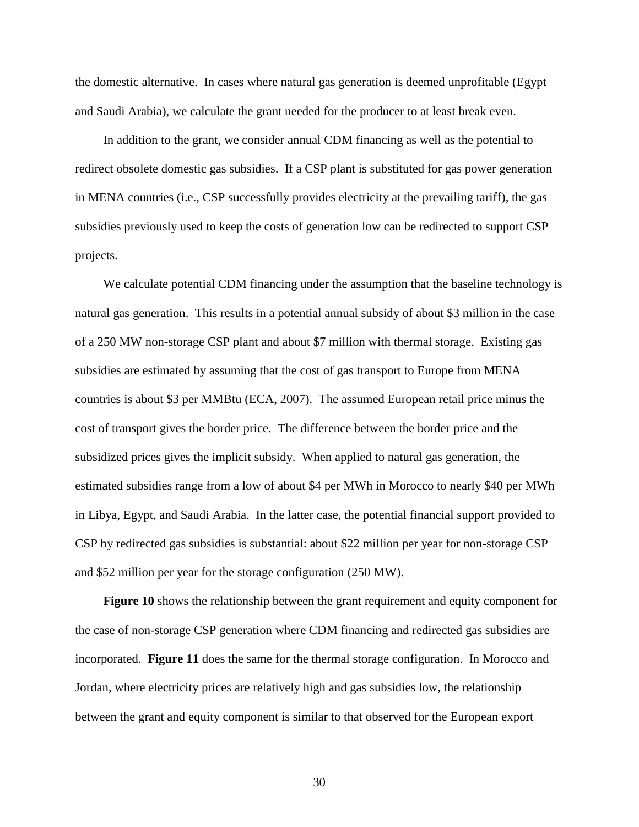the domestic alternative. In cases where natural gas generation is deemed unprofitable (Egypt and Saudi Arabia), we calculate the grant needed for the producer to at least break even.

In addition to the grant, we consider annual CDM financing as well as the potential to redirect obsolete domestic gas subsidies. If a CSP plant is substituted for gas power generation in MENA countries (i.e., CSP successfully provides electricity at the prevailing tariff), the gas subsidies previously used to keep the costs of generation low can be redirected to support CSP projects.

We calculate potential CDM financing under the assumption that the baseline technology is natural gas generation. This results in a potential annual subsidy of about \$3 million in the case of a 250 MW non-storage CSP plant and about \$7 million with thermal storage. Existing gas subsidies are estimated by assuming that the cost of gas transport to Europe from MENA countries is about \$3 per MMBtu (ECA, 2007). The assumed European retail price minus the cost of transport gives the border price. The difference between the border price and the subsidized prices gives the implicit subsidy. When applied to natural gas generation, the estimated subsidies range from a low of about \$4 per MWh in Morocco to nearly \$40 per MWh in Libya, Egypt, and Saudi Arabia. In the latter case, the potential financial support provided to CSP by redirected gas subsidies is substantial: about \$22 million per year for non-storage CSP and \$52 million per year for the storage configuration (250 MW).

**Figure 10** shows the relationship between the grant requirement and equity component for the case of non-storage CSP generation where CDM financing and redirected gas subsidies are incorporated. **Figure 11** does the same for the thermal storage configuration. In Morocco and Jordan, where electricity prices are relatively high and gas subsidies low, the relationship between the grant and equity component is similar to that observed for the European export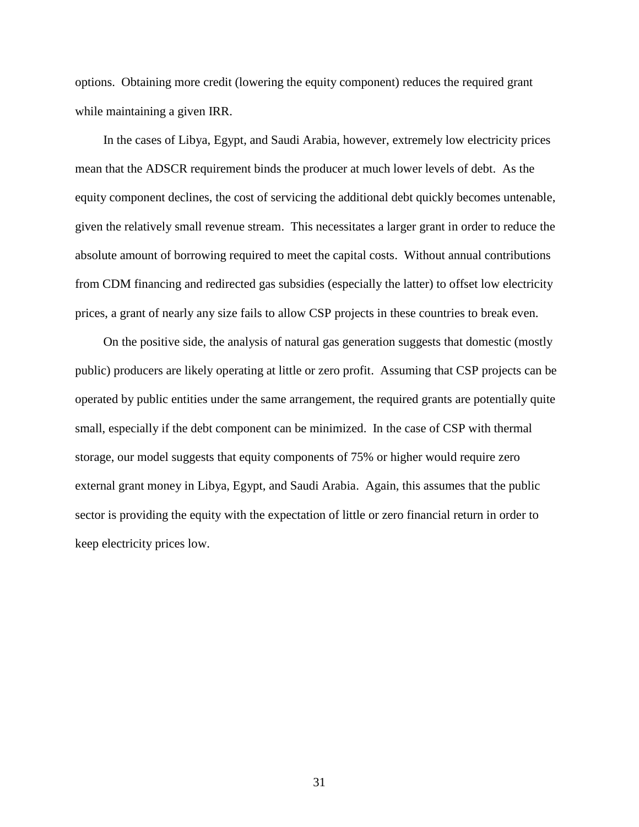options. Obtaining more credit (lowering the equity component) reduces the required grant while maintaining a given IRR.

In the cases of Libya, Egypt, and Saudi Arabia, however, extremely low electricity prices mean that the ADSCR requirement binds the producer at much lower levels of debt. As the equity component declines, the cost of servicing the additional debt quickly becomes untenable, given the relatively small revenue stream. This necessitates a larger grant in order to reduce the absolute amount of borrowing required to meet the capital costs. Without annual contributions from CDM financing and redirected gas subsidies (especially the latter) to offset low electricity prices, a grant of nearly any size fails to allow CSP projects in these countries to break even.

On the positive side, the analysis of natural gas generation suggests that domestic (mostly public) producers are likely operating at little or zero profit. Assuming that CSP projects can be operated by public entities under the same arrangement, the required grants are potentially quite small, especially if the debt component can be minimized. In the case of CSP with thermal storage, our model suggests that equity components of 75% or higher would require zero external grant money in Libya, Egypt, and Saudi Arabia. Again, this assumes that the public sector is providing the equity with the expectation of little or zero financial return in order to keep electricity prices low.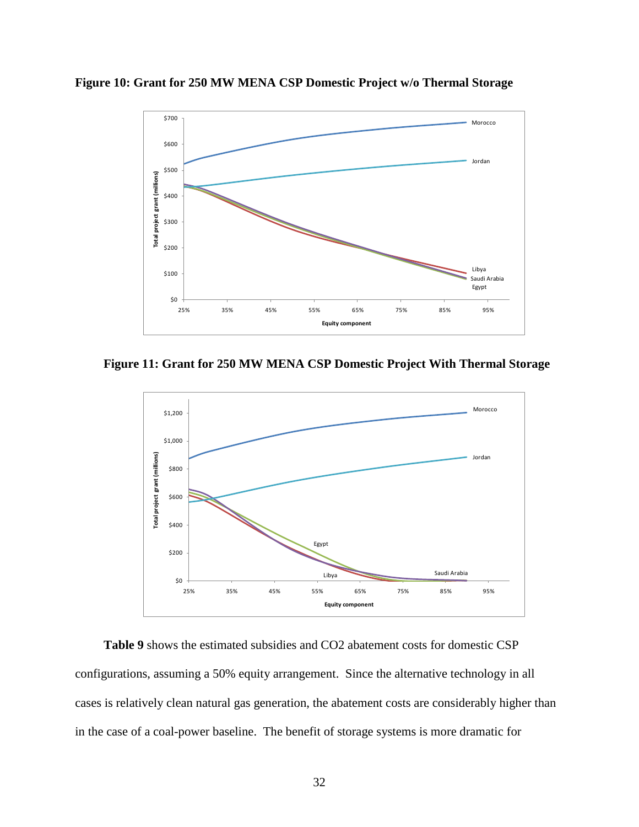

**Figure 10: Grant for 250 MW MENA CSP Domestic Project w/o Thermal Storage**

**Figure 11: Grant for 250 MW MENA CSP Domestic Project With Thermal Storage**



**Table 9** shows the estimated subsidies and CO2 abatement costs for domestic CSP configurations, assuming a 50% equity arrangement. Since the alternative technology in all cases is relatively clean natural gas generation, the abatement costs are considerably higher than in the case of a coal-power baseline. The benefit of storage systems is more dramatic for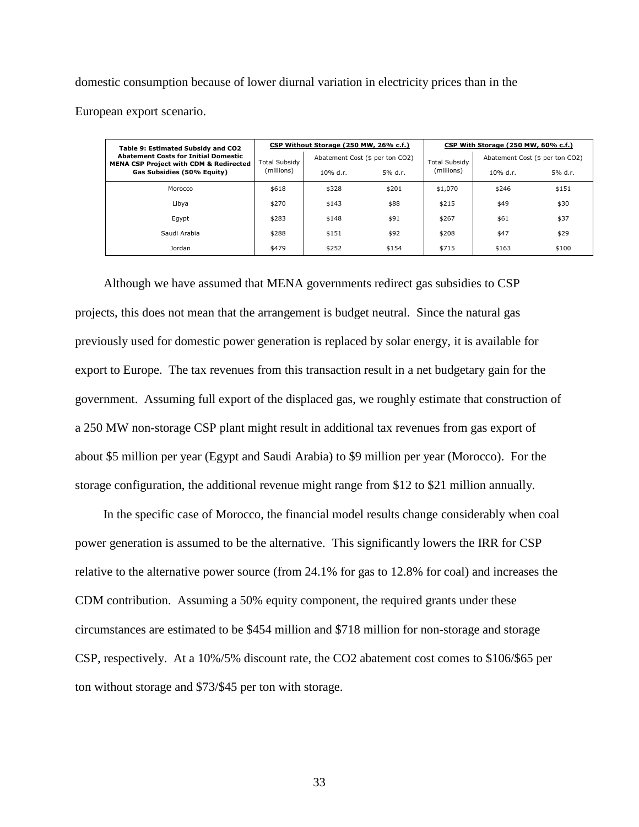domestic consumption because of lower diurnal variation in electricity prices than in the

European export scenario.

| Table 9: Estimated Subsidy and CO2                                                               |                      | CSP Without Storage (250 MW, 26% c.f.) |                                 | CSP With Storage (250 MW, 60% c.f.) |            |                                 |  |
|--------------------------------------------------------------------------------------------------|----------------------|----------------------------------------|---------------------------------|-------------------------------------|------------|---------------------------------|--|
| <b>Abatement Costs for Initial Domestic</b><br><b>MENA CSP Project with CDM &amp; Redirected</b> | <b>Total Subsidy</b> |                                        | Abatement Cost (\$ per ton CO2) | Total Subsidy                       |            | Abatement Cost (\$ per ton CO2) |  |
| Gas Subsidies (50% Equity)                                                                       | (millions)           | $10\%$ d.r.                            | $5%$ d.r.                       | (millions)                          | $10%$ d.r. | 5% d.r.                         |  |
| Morocco                                                                                          | \$618                | \$328                                  | \$201                           | \$1,070                             | \$246      | \$151                           |  |
| Libya                                                                                            | \$270                | \$143                                  | \$88                            | \$215                               | \$49       | \$30                            |  |
| Egypt                                                                                            | \$283                | \$148                                  | \$91                            | \$267                               | \$61       | \$37                            |  |
| Saudi Arabia                                                                                     | \$288                | \$151                                  | \$92                            | \$208                               | \$47       | \$29                            |  |
| Jordan                                                                                           | \$479                | \$252                                  | \$154                           | \$715                               | \$163      | \$100                           |  |

Although we have assumed that MENA governments redirect gas subsidies to CSP projects, this does not mean that the arrangement is budget neutral. Since the natural gas previously used for domestic power generation is replaced by solar energy, it is available for export to Europe. The tax revenues from this transaction result in a net budgetary gain for the government. Assuming full export of the displaced gas, we roughly estimate that construction of a 250 MW non-storage CSP plant might result in additional tax revenues from gas export of about \$5 million per year (Egypt and Saudi Arabia) to \$9 million per year (Morocco). For the storage configuration, the additional revenue might range from \$12 to \$21 million annually.

In the specific case of Morocco, the financial model results change considerably when coal power generation is assumed to be the alternative. This significantly lowers the IRR for CSP relative to the alternative power source (from 24.1% for gas to 12.8% for coal) and increases the CDM contribution. Assuming a 50% equity component, the required grants under these circumstances are estimated to be \$454 million and \$718 million for non-storage and storage CSP, respectively. At a 10%/5% discount rate, the CO2 abatement cost comes to \$106/\$65 per ton without storage and \$73/\$45 per ton with storage.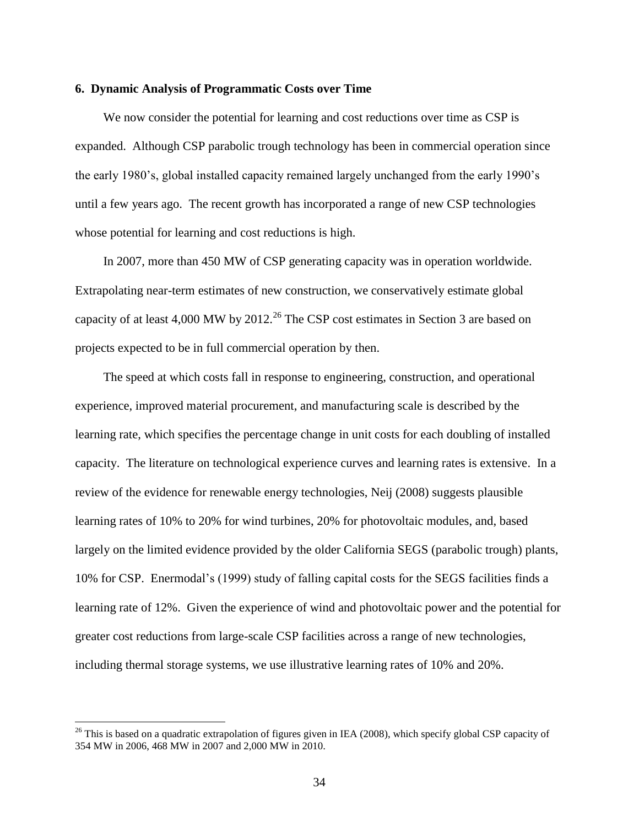#### **6. Dynamic Analysis of Programmatic Costs over Time**

We now consider the potential for learning and cost reductions over time as CSP is expanded. Although CSP parabolic trough technology has been in commercial operation since the early 1980's, global installed capacity remained largely unchanged from the early 1990's until a few years ago. The recent growth has incorporated a range of new CSP technologies whose potential for learning and cost reductions is high.

In 2007, more than 450 MW of CSP generating capacity was in operation worldwide. Extrapolating near-term estimates of new construction, we conservatively estimate global capacity of at least 4,000 MW by  $2012<sup>26</sup>$  The CSP cost estimates in Section 3 are based on projects expected to be in full commercial operation by then.

The speed at which costs fall in response to engineering, construction, and operational experience, improved material procurement, and manufacturing scale is described by the learning rate, which specifies the percentage change in unit costs for each doubling of installed capacity. The literature on technological experience curves and learning rates is extensive. In a review of the evidence for renewable energy technologies, Neij (2008) suggests plausible learning rates of 10% to 20% for wind turbines, 20% for photovoltaic modules, and, based largely on the limited evidence provided by the older California SEGS (parabolic trough) plants, 10% for CSP. Enermodal's (1999) study of falling capital costs for the SEGS facilities finds a learning rate of 12%. Given the experience of wind and photovoltaic power and the potential for greater cost reductions from large-scale CSP facilities across a range of new technologies, including thermal storage systems, we use illustrative learning rates of 10% and 20%.

 $^{26}$  This is based on a quadratic extrapolation of figures given in IEA (2008), which specify global CSP capacity of 354 MW in 2006, 468 MW in 2007 and 2,000 MW in 2010.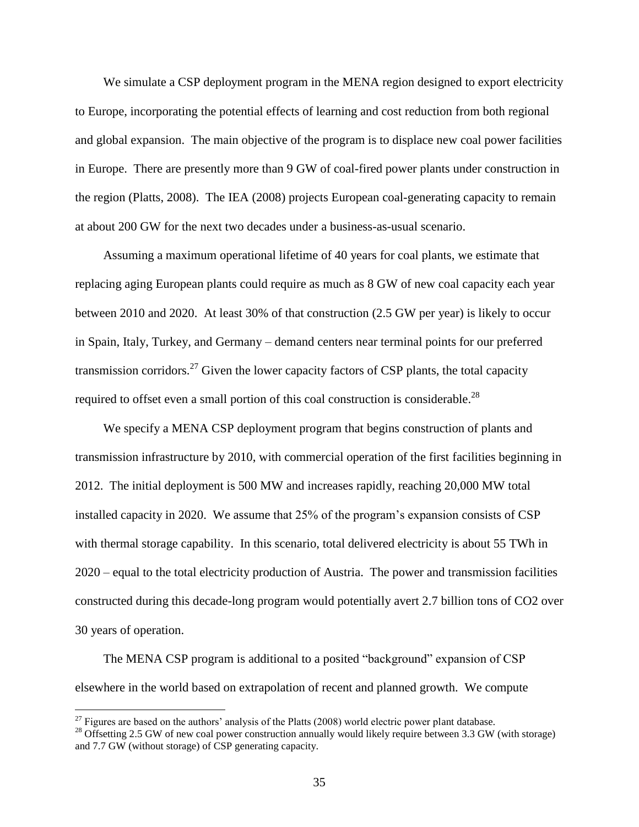We simulate a CSP deployment program in the MENA region designed to export electricity to Europe, incorporating the potential effects of learning and cost reduction from both regional and global expansion. The main objective of the program is to displace new coal power facilities in Europe. There are presently more than 9 GW of coal-fired power plants under construction in the region (Platts, 2008). The IEA (2008) projects European coal-generating capacity to remain at about 200 GW for the next two decades under a business-as-usual scenario.

Assuming a maximum operational lifetime of 40 years for coal plants, we estimate that replacing aging European plants could require as much as 8 GW of new coal capacity each year between 2010 and 2020. At least 30% of that construction (2.5 GW per year) is likely to occur in Spain, Italy, Turkey, and Germany – demand centers near terminal points for our preferred transmission corridors.<sup>27</sup> Given the lower capacity factors of CSP plants, the total capacity required to offset even a small portion of this coal construction is considerable.<sup>28</sup>

We specify a MENA CSP deployment program that begins construction of plants and transmission infrastructure by 2010, with commercial operation of the first facilities beginning in 2012. The initial deployment is 500 MW and increases rapidly, reaching 20,000 MW total installed capacity in 2020. We assume that 25% of the program's expansion consists of CSP with thermal storage capability. In this scenario, total delivered electricity is about 55 TWh in 2020 – equal to the total electricity production of Austria. The power and transmission facilities constructed during this decade-long program would potentially avert 2.7 billion tons of CO2 over 30 years of operation.

The MENA CSP program is additional to a posited "background" expansion of CSP elsewhere in the world based on extrapolation of recent and planned growth. We compute

 $^{27}$  Figures are based on the authors' analysis of the Platts (2008) world electric power plant database.

<sup>&</sup>lt;sup>28</sup> Offsetting 2.5 GW of new coal power construction annually would likely require between 3.3 GW (with storage) and 7.7 GW (without storage) of CSP generating capacity.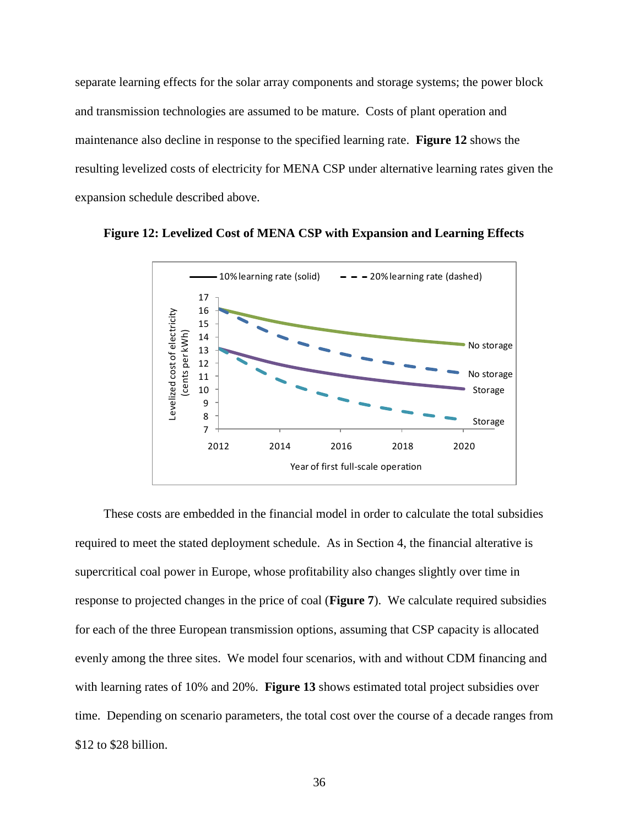separate learning effects for the solar array components and storage systems; the power block and transmission technologies are assumed to be mature. Costs of plant operation and maintenance also decline in response to the specified learning rate. **Figure 12** shows the resulting levelized costs of electricity for MENA CSP under alternative learning rates given the expansion schedule described above.



**Figure 12: Levelized Cost of MENA CSP with Expansion and Learning Effects**

These costs are embedded in the financial model in order to calculate the total subsidies required to meet the stated deployment schedule. As in Section 4, the financial alterative is supercritical coal power in Europe, whose profitability also changes slightly over time in response to projected changes in the price of coal (**Figure 7**). We calculate required subsidies for each of the three European transmission options, assuming that CSP capacity is allocated evenly among the three sites. We model four scenarios, with and without CDM financing and with learning rates of 10% and 20%. **Figure 13** shows estimated total project subsidies over time. Depending on scenario parameters, the total cost over the course of a decade ranges from \$12 to \$28 billion.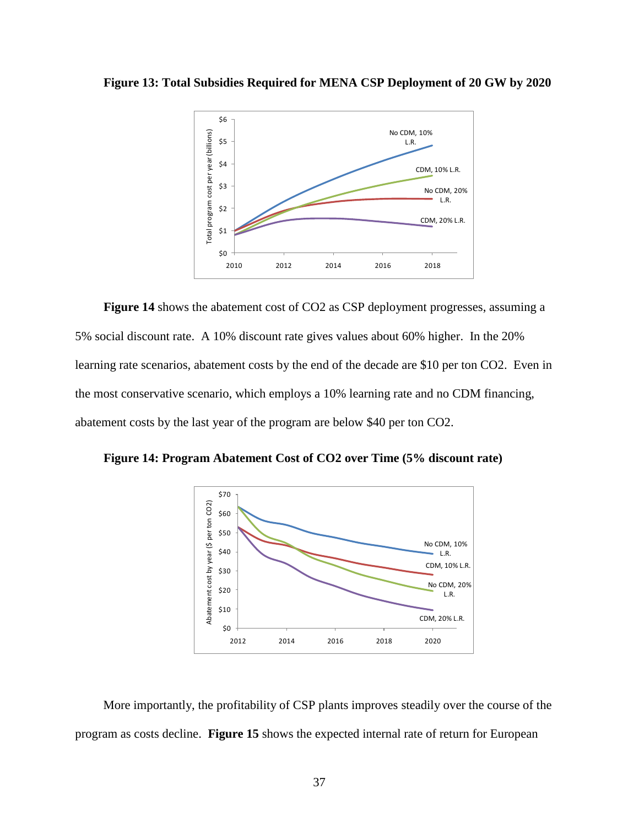**Figure 13: Total Subsidies Required for MENA CSP Deployment of 20 GW by 2020**



**Figure 14** shows the abatement cost of CO2 as CSP deployment progresses, assuming a 5% social discount rate. A 10% discount rate gives values about 60% higher. In the 20% learning rate scenarios, abatement costs by the end of the decade are \$10 per ton CO2. Even in the most conservative scenario, which employs a 10% learning rate and no CDM financing, abatement costs by the last year of the program are below \$40 per ton CO2.

**Figure 14: Program Abatement Cost of CO2 over Time (5% discount rate)**



More importantly, the profitability of CSP plants improves steadily over the course of the program as costs decline. **Figure 15** shows the expected internal rate of return for European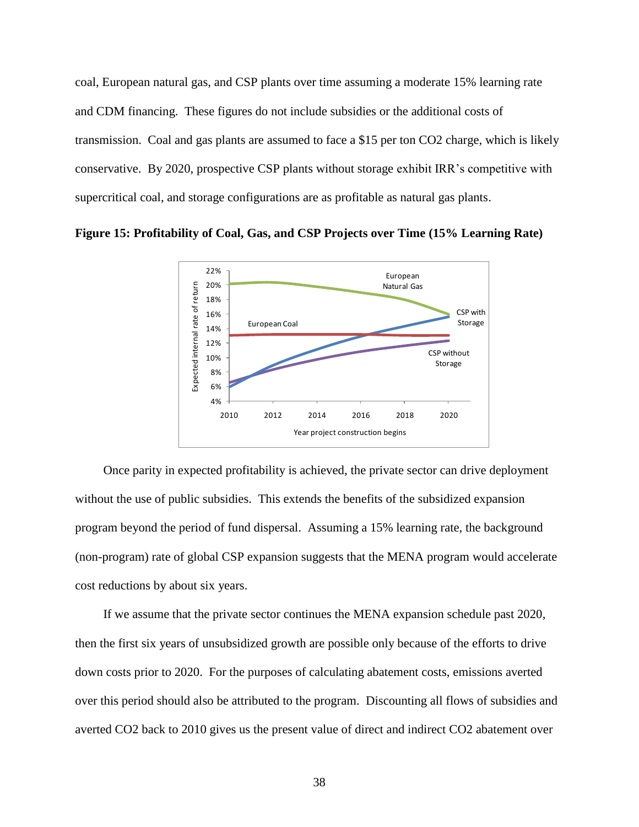coal, European natural gas, and CSP plants over time assuming a moderate 15% learning rate and CDM financing. These figures do not include subsidies or the additional costs of transmission. Coal and gas plants are assumed to face a \$15 per ton CO2 charge, which is likely conservative. By 2020, prospective CSP plants without storage exhibit IRR's competitive with supercritical coal, and storage configurations are as profitable as natural gas plants.



**Figure 15: Profitability of Coal, Gas, and CSP Projects over Time (15% Learning Rate)**

Once parity in expected profitability is achieved, the private sector can drive deployment without the use of public subsidies. This extends the benefits of the subsidized expansion program beyond the period of fund dispersal. Assuming a 15% learning rate, the background (non-program) rate of global CSP expansion suggests that the MENA program would accelerate cost reductions by about six years.

If we assume that the private sector continues the MENA expansion schedule past 2020, then the first six years of unsubsidized growth are possible only because of the efforts to drive down costs prior to 2020. For the purposes of calculating abatement costs, emissions averted over this period should also be attributed to the program. Discounting all flows of subsidies and averted CO2 back to 2010 gives us the present value of direct and indirect CO2 abatement over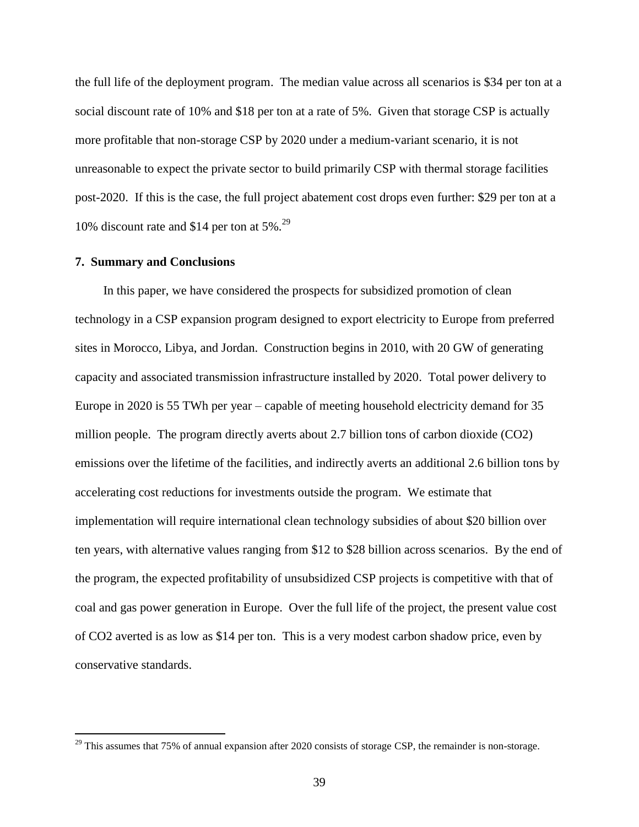the full life of the deployment program. The median value across all scenarios is \$34 per ton at a social discount rate of 10% and \$18 per ton at a rate of 5%. Given that storage CSP is actually more profitable that non-storage CSP by 2020 under a medium-variant scenario, it is not unreasonable to expect the private sector to build primarily CSP with thermal storage facilities post-2020. If this is the case, the full project abatement cost drops even further: \$29 per ton at a 10% discount rate and \$14 per ton at  $5\%$ .<sup>29</sup>

#### **7. Summary and Conclusions**

 $\overline{a}$ 

In this paper, we have considered the prospects for subsidized promotion of clean technology in a CSP expansion program designed to export electricity to Europe from preferred sites in Morocco, Libya, and Jordan. Construction begins in 2010, with 20 GW of generating capacity and associated transmission infrastructure installed by 2020. Total power delivery to Europe in 2020 is 55 TWh per year – capable of meeting household electricity demand for 35 million people. The program directly averts about 2.7 billion tons of carbon dioxide (CO2) emissions over the lifetime of the facilities, and indirectly averts an additional 2.6 billion tons by accelerating cost reductions for investments outside the program. We estimate that implementation will require international clean technology subsidies of about \$20 billion over ten years, with alternative values ranging from \$12 to \$28 billion across scenarios. By the end of the program, the expected profitability of unsubsidized CSP projects is competitive with that of coal and gas power generation in Europe. Over the full life of the project, the present value cost of CO2 averted is as low as \$14 per ton. This is a very modest carbon shadow price, even by conservative standards.

<sup>&</sup>lt;sup>29</sup> This assumes that 75% of annual expansion after 2020 consists of storage CSP, the remainder is non-storage.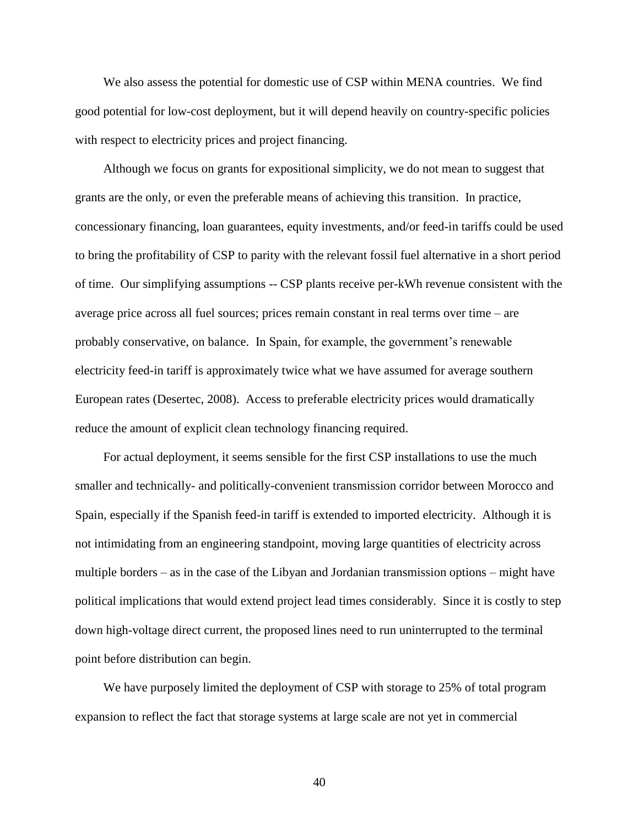We also assess the potential for domestic use of CSP within MENA countries. We find good potential for low-cost deployment, but it will depend heavily on country-specific policies with respect to electricity prices and project financing.

Although we focus on grants for expositional simplicity, we do not mean to suggest that grants are the only, or even the preferable means of achieving this transition. In practice, concessionary financing, loan guarantees, equity investments, and/or feed-in tariffs could be used to bring the profitability of CSP to parity with the relevant fossil fuel alternative in a short period of time. Our simplifying assumptions -- CSP plants receive per-kWh revenue consistent with the average price across all fuel sources; prices remain constant in real terms over time – are probably conservative, on balance. In Spain, for example, the government's renewable electricity feed-in tariff is approximately twice what we have assumed for average southern European rates (Desertec, 2008). Access to preferable electricity prices would dramatically reduce the amount of explicit clean technology financing required.

For actual deployment, it seems sensible for the first CSP installations to use the much smaller and technically- and politically-convenient transmission corridor between Morocco and Spain, especially if the Spanish feed-in tariff is extended to imported electricity. Although it is not intimidating from an engineering standpoint, moving large quantities of electricity across multiple borders – as in the case of the Libyan and Jordanian transmission options – might have political implications that would extend project lead times considerably. Since it is costly to step down high-voltage direct current, the proposed lines need to run uninterrupted to the terminal point before distribution can begin.

We have purposely limited the deployment of CSP with storage to 25% of total program expansion to reflect the fact that storage systems at large scale are not yet in commercial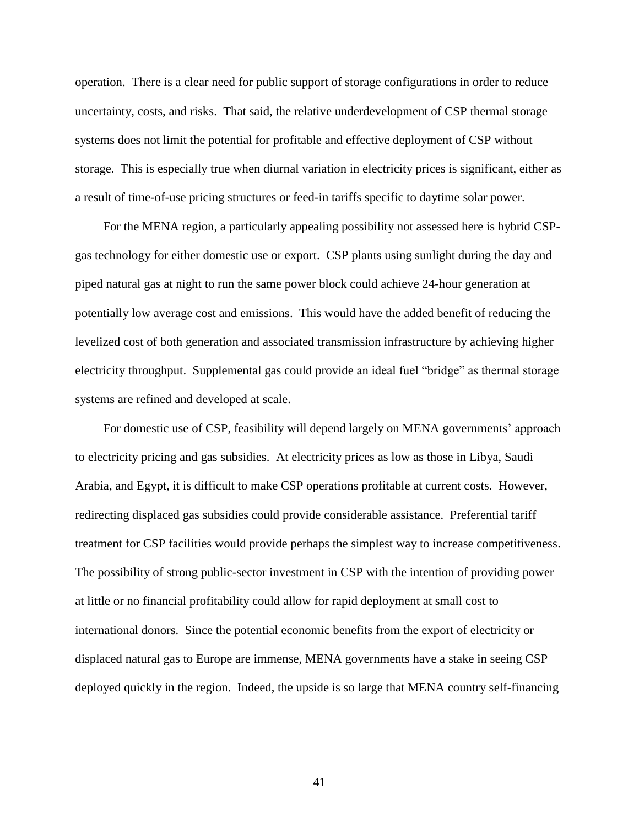operation. There is a clear need for public support of storage configurations in order to reduce uncertainty, costs, and risks. That said, the relative underdevelopment of CSP thermal storage systems does not limit the potential for profitable and effective deployment of CSP without storage. This is especially true when diurnal variation in electricity prices is significant, either as a result of time-of-use pricing structures or feed-in tariffs specific to daytime solar power.

For the MENA region, a particularly appealing possibility not assessed here is hybrid CSPgas technology for either domestic use or export. CSP plants using sunlight during the day and piped natural gas at night to run the same power block could achieve 24-hour generation at potentially low average cost and emissions. This would have the added benefit of reducing the levelized cost of both generation and associated transmission infrastructure by achieving higher electricity throughput. Supplemental gas could provide an ideal fuel "bridge" as thermal storage systems are refined and developed at scale.

For domestic use of CSP, feasibility will depend largely on MENA governments' approach to electricity pricing and gas subsidies. At electricity prices as low as those in Libya, Saudi Arabia, and Egypt, it is difficult to make CSP operations profitable at current costs. However, redirecting displaced gas subsidies could provide considerable assistance. Preferential tariff treatment for CSP facilities would provide perhaps the simplest way to increase competitiveness. The possibility of strong public-sector investment in CSP with the intention of providing power at little or no financial profitability could allow for rapid deployment at small cost to international donors. Since the potential economic benefits from the export of electricity or displaced natural gas to Europe are immense, MENA governments have a stake in seeing CSP deployed quickly in the region. Indeed, the upside is so large that MENA country self-financing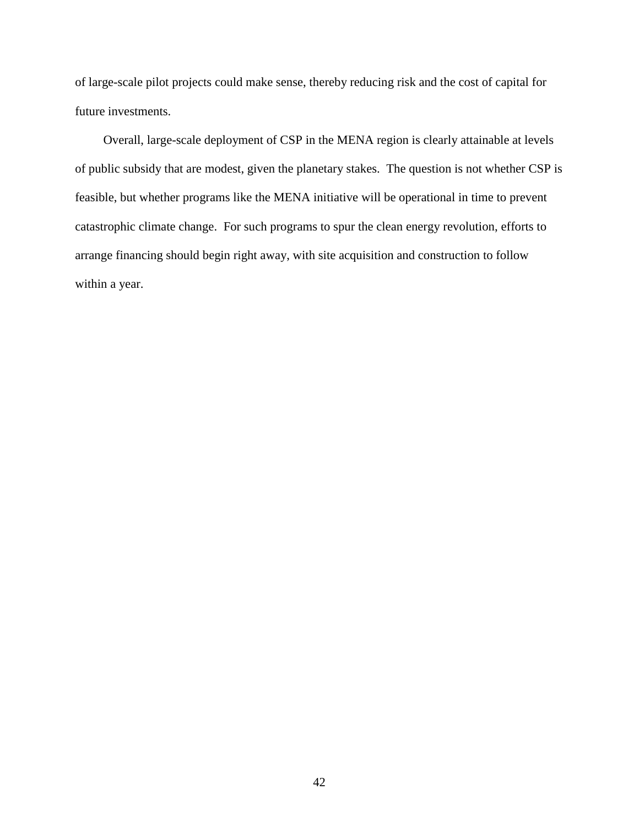of large-scale pilot projects could make sense, thereby reducing risk and the cost of capital for future investments.

Overall, large-scale deployment of CSP in the MENA region is clearly attainable at levels of public subsidy that are modest, given the planetary stakes. The question is not whether CSP is feasible, but whether programs like the MENA initiative will be operational in time to prevent catastrophic climate change. For such programs to spur the clean energy revolution, efforts to arrange financing should begin right away, with site acquisition and construction to follow within a year.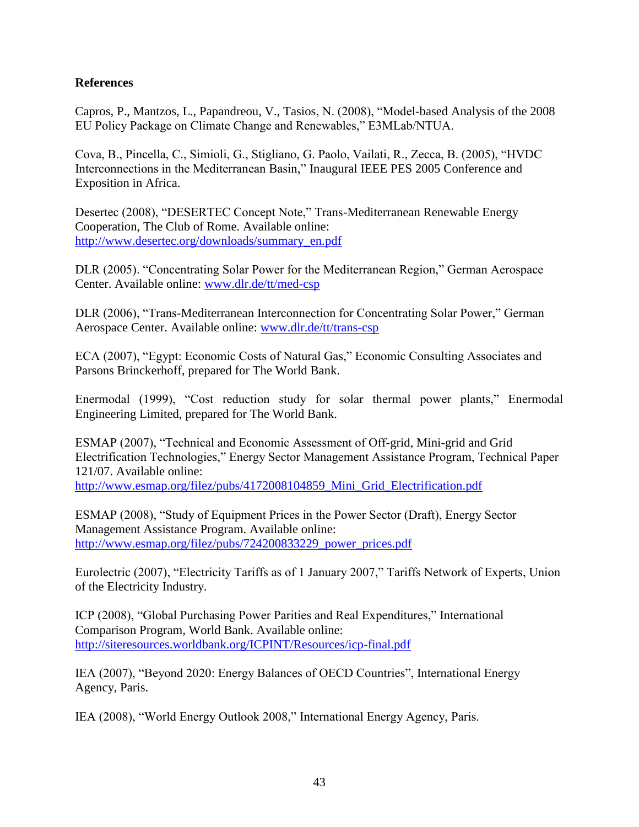# **References**

Capros, P., Mantzos, L., Papandreou, V., Tasios, N. (2008), "Model-based Analysis of the 2008 EU Policy Package on Climate Change and Renewables," E3MLab/NTUA.

Cova, B., Pincella, C., Simioli, G., Stigliano, G. Paolo, Vailati, R., Zecca, B. (2005), "HVDC Interconnections in the Mediterranean Basin," Inaugural IEEE PES 2005 Conference and Exposition in Africa.

Desertec (2008), "DESERTEC Concept Note," Trans-Mediterranean Renewable Energy Cooperation, The Club of Rome. Available online: [http://www.desertec.org/downloads/summary\\_en.pdf](http://www.desertec.org/downloads/summary_en.pdf)

DLR (2005). "Concentrating Solar Power for the Mediterranean Region," German Aerospace Center. Available online: [www.dlr.de/tt/med-csp](http://www.dlr.de/tt/med-csp)

DLR (2006), "Trans-Mediterranean Interconnection for Concentrating Solar Power," German Aerospace Center. Available online: [www.dlr.de/tt/trans-csp](http://www.dlr.de/tt/trans-csp)

ECA (2007), "Egypt: Economic Costs of Natural Gas," Economic Consulting Associates and Parsons Brinckerhoff, prepared for The World Bank.

Enermodal (1999), "Cost reduction study for solar thermal power plants," Enermodal Engineering Limited, prepared for The World Bank.

ESMAP (2007), "Technical and Economic Assessment of Off-grid, Mini-grid and Grid Electrification Technologies," Energy Sector Management Assistance Program, Technical Paper 121/07. Available online: [http://www.esmap.org/filez/pubs/4172008104859\\_Mini\\_Grid\\_Electrification.pdf](http://www.esmap.org/filez/pubs/4172008104859_Mini_Grid_Electrification.pdf)

ESMAP (2008), "Study of Equipment Prices in the Power Sector (Draft), Energy Sector Management Assistance Program. Available online: [http://www.esmap.org/filez/pubs/724200833229\\_power\\_prices.pdf](http://www.esmap.org/filez/pubs/724200833229_power_prices.pdf)

Eurolectric (2007), "Electricity Tariffs as of 1 January 2007," Tariffs Network of Experts, Union of the Electricity Industry.

ICP (2008), "Global Purchasing Power Parities and Real Expenditures," International Comparison Program, World Bank. Available online: <http://siteresources.worldbank.org/ICPINT/Resources/icp-final.pdf>

IEA (2007), "Beyond 2020: Energy Balances of OECD Countries", International Energy Agency, Paris.

IEA (2008), "World Energy Outlook 2008," International Energy Agency, Paris.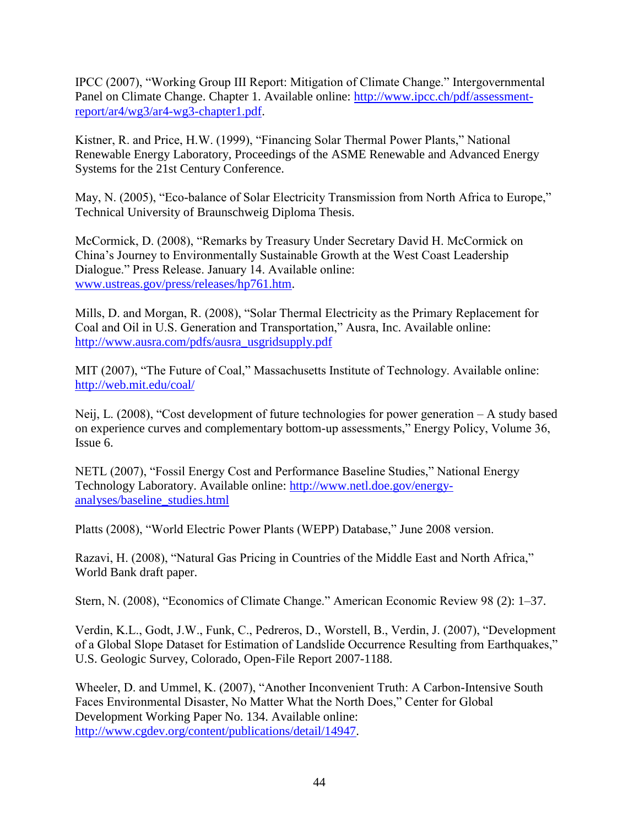IPCC (2007), "Working Group III Report: Mitigation of Climate Change." Intergovernmental Panel on Climate Change. Chapter 1. Available online: [http://www.ipcc.ch/pdf/assessment](http://www.ipcc.ch/pdf/assessment-report/ar4/wg3/ar4-wg3-chapter1.pdf)[report/ar4/wg3/ar4-wg3-chapter1.pdf.](http://www.ipcc.ch/pdf/assessment-report/ar4/wg3/ar4-wg3-chapter1.pdf)

Kistner, R. and Price, H.W. (1999), "Financing Solar Thermal Power Plants," National Renewable Energy Laboratory, Proceedings of the ASME Renewable and Advanced Energy Systems for the 21st Century Conference.

May, N. (2005), "Eco-balance of Solar Electricity Transmission from North Africa to Europe," Technical University of Braunschweig Diploma Thesis.

McCormick, D. (2008), "Remarks by Treasury Under Secretary David H. McCormick on China's Journey to Environmentally Sustainable Growth at the West Coast Leadership Dialogue." Press Release. January 14. Available online: [www.ustreas.gov/press/releases/hp761.htm.](http://www.ustreas.gov/press/releases/hp761.htm)

Mills, D. and Morgan, R. (2008), "Solar Thermal Electricity as the Primary Replacement for Coal and Oil in U.S. Generation and Transportation," Ausra, Inc. Available online: [http://www.ausra.com/pdfs/ausra\\_usgridsupply.pdf](http://www.ausra.com/pdfs/ausra_usgridsupply.pdf)

MIT (2007), "The Future of Coal," Massachusetts Institute of Technology. Available online: <http://web.mit.edu/coal/>

Neij, L. (2008), "Cost development of future technologies for power generation – A study based on experience curves and complementary bottom-up assessments," Energy Policy, Volume 36, Issue 6.

NETL (2007), "Fossil Energy Cost and Performance Baseline Studies," National Energy Technology Laboratory. Available online: [http://www.netl.doe.gov/energy](http://www.netl.doe.gov/energy-analyses/baseline_studies.html)[analyses/baseline\\_studies.html](http://www.netl.doe.gov/energy-analyses/baseline_studies.html)

Platts (2008), "World Electric Power Plants (WEPP) Database," June 2008 version.

Razavi, H. (2008), "Natural Gas Pricing in Countries of the Middle East and North Africa," World Bank draft paper.

Stern, N. (2008), "Economics of Climate Change." American Economic Review 98 (2): 1–37.

Verdin, K.L., Godt, J.W., Funk, C., Pedreros, D., Worstell, B., Verdin, J. (2007), "Development of a Global Slope Dataset for Estimation of Landslide Occurrence Resulting from Earthquakes," U.S. Geologic Survey, Colorado, Open-File Report 2007-1188.

Wheeler, D. and Ummel, K. (2007), "Another Inconvenient Truth: A Carbon-Intensive South Faces Environmental Disaster, No Matter What the North Does," Center for Global Development Working Paper No. 134. Available online: [http://www.cgdev.org/content/publications/detail/14947.](http://www.cgdev.org/content/publications/detail/14947)